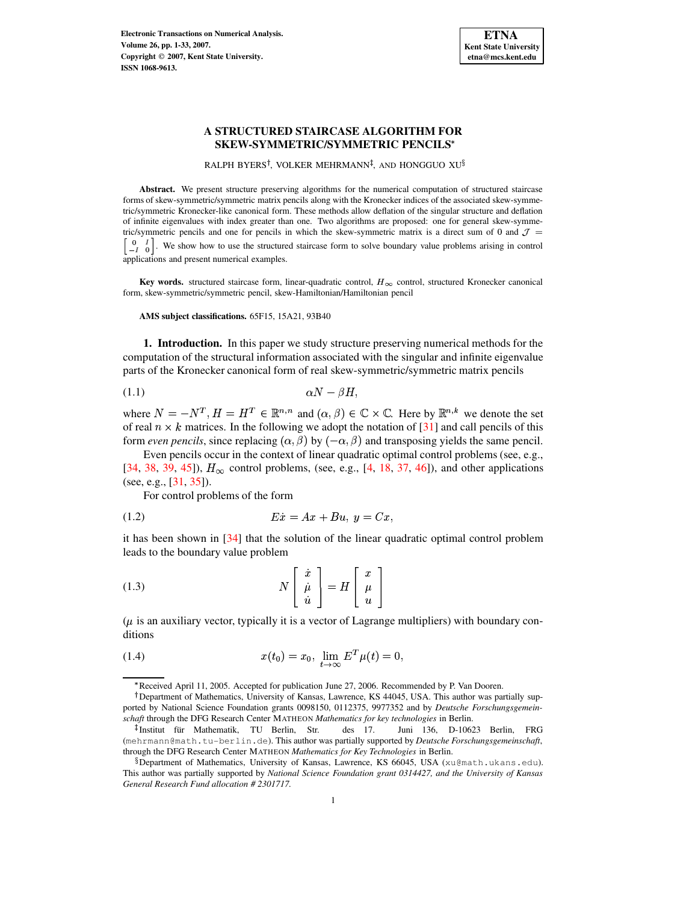

RALPH BYERS<sup>†</sup>, VOLKER MEHRMANN<sup>‡</sup>, AND HONGGUO XU<sup>§</sup>

**Abstract.** We present structure preserving algorithms for the numerical computation of structured staircase forms of skew-symmetric/symmetric matrix pencils along with the Kronecker indices of the associated skew-symmetric/symmetric Kronecker-like canonical form. These methods allow deflation of the singular structure and deflation of infinite eigenvalues with index greater than one. Two algorithms are proposed: one for general skew-symmetric/symmetric pencils and one for pencils in which the skew-symmetric matrix is a direct sum of 0 and  $\mathcal{J} =$ . . and the contract of the contract of the contract of the contract of the contract of the contract of the contract of  $\begin{bmatrix} 0 & 1 \\ -I & 0 \end{bmatrix}$ . We show how to use the structured staircase form to solve boundary value problems arising in control applications and present numerical examples.

**Key** words. structured staircase form, linear-quadratic control,  $H_{\infty}$  control, structured Kronecker canonical form, skew-symmetric/symmetric pencil, skew-Hamiltonian/Hamiltonian pencil

**AMS subject classifications.** 65F15, 15A21, 93B40

**1. Introduction.** In this paper we study structure preserving numerical methods for the computation of the structural information associated with the singular and infinite eigenvalue parts of the Kronecker canonical form of real skew-symmetric/symmetric matrix pencils

<span id="page-0-0"></span>
$$
\alpha N - \beta H,
$$
 (1.1)

where  $N = -N^T$ ,  $H = H^T \in \mathbb{R}^{n,n}$  and  $(\alpha, \beta) \in \mathbb{C} \times \mathbb{C}$ . Here by  $\mathbb{R}^{n,k}$  we denote the set of real  $n \times k$  matrices. In the following we adopt the notation of [\[31\]](#page-15-0) and call pencils of this form *even pencils*, since replacing  $(\alpha, \beta)$  by  $(-\alpha, \beta)$  and transposing yields the same pencil.

Even pencils occur in the context of linear quadratic optimal control problems (see, e.g., [\[34,](#page-15-1) [38,](#page-15-2) [39,](#page-15-3) [45\]](#page-15-4)),  $H_{\infty}$  control problems, (see, e.g., [\[4,](#page-14-0) [18,](#page-14-1) [37,](#page-15-5) [46\]](#page-15-6)), and other applications (see, e.g., [\[31,](#page-15-0) [35\]](#page-15-7)).

<span id="page-0-1"></span>For control problems of the form

ABDC!AFEHGJIKFMLNAO (1.2)

it has been shown in [\[34\]](#page-15-1) that the solution of the linear quadratic optimal control problem leads to the boundary value problem

<span id="page-0-2"></span>(1.3) 
$$
N\begin{bmatrix} \dot{x} \\ \dot{\mu} \\ \dot{u} \end{bmatrix} = H\begin{bmatrix} x \\ \mu \\ u \end{bmatrix}
$$

 $(\mu$  is an auxiliary vector, typically it is a vector of Lagrange multipliers) with boundary conditions

(1.4) 
$$
x(t_0) = x_0, \lim_{t \to \infty} E^T \mu(t) = 0,
$$

Received April 11, 2005. Accepted for publication June 27, 2006. Recommended by P. Van Dooren.

<sup>&</sup>lt;sup>†</sup>Department of Mathematics, University of Kansas, Lawrence, KS 44045, USA. This author was partially supported by National Science Foundation grants 0098150, 0112375, 9977352 and by *Deutsche Forschungsgemeinschaft* through the DFG Research Center MATHEON *Mathematics for key technologies* in Berlin.

<sup>&</sup>lt;sup>‡</sup>Institut für Mathematik, TU Berlin, Str. des 17. Juni 136, D-10623 Berlin, FRG (mehrmann@math.tu-berlin.de). This author was partially supported by *Deutsche Forschungsgemeinschaft*, through the DFG Research Center MATHEON *Mathematics for Key Technologies* in Berlin.

 $^{\S}$ Department of Mathematics, University of Kansas, Lawrence, KS 66045, USA (xu@math.ukans.edu). This author was partially supported by *National Science Foundation grant 0314427, and the University of Kansas General Research Fund allocation # 2301717.*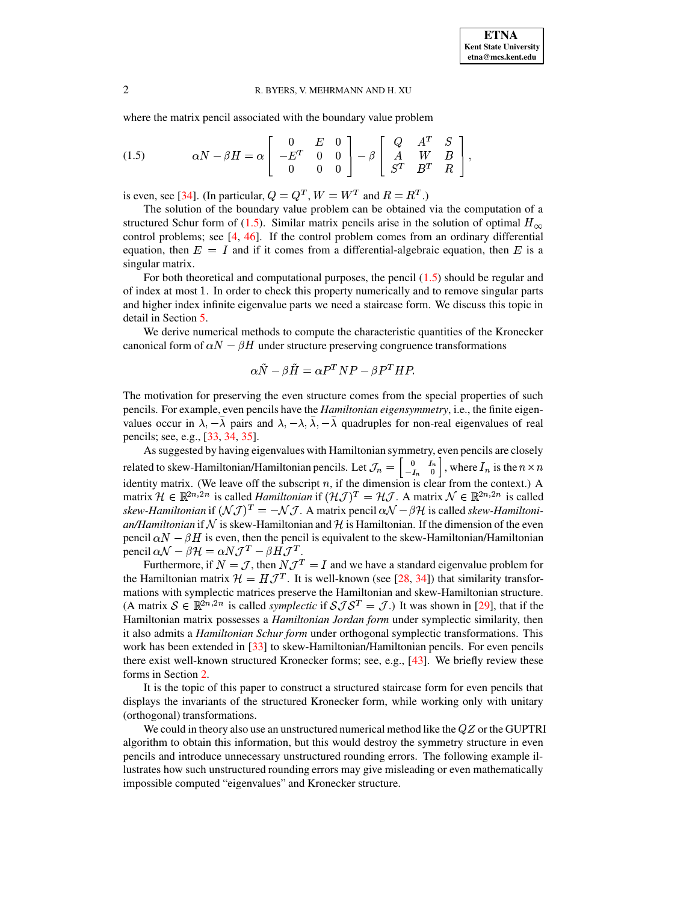where the matrix pencil associated with the boundary value problem

<span id="page-1-0"></span>(1.5) 
$$
\alpha N - \beta H = \alpha \begin{bmatrix} 0 & E & 0 \\ -E^T & 0 & 0 \\ 0 & 0 & 0 \end{bmatrix} - \beta \begin{bmatrix} Q & A^T & S \\ A & W & B \\ S^T & B^T & R \end{bmatrix},
$$

is even, see [\[34\]](#page-15-1). (In particular,  $Q = Q^T$ ,  $W = W^T$  and  $R = R^T$ .)

The solution of the boundary value problem can be obtained via the computation of a structured Schur form of [\(1.5\)](#page-1-0). Similar matrix pencils arise in the solution of optimal  $H_{\infty}$ control problems; see [\[4,](#page-14-0) [46\]](#page-15-6). If the control problem comes from an ordinary differential control problems; see [4, 46]. If the control problem comes from an ordinary differential equation, then  $E = I$  and if it comes from a differential-algebraic equation, then E is a singular matrix.

For both theoretical and computational purposes, the pencil  $(1.5)$  should be regular and of index at most 1. In order to check this property numerically and to remove singular parts and higher index infinite eigenvalue parts we need a staircase form. We discuss this topic in detail in Section [5.](#page-13-0)

We derive numerical methods to compute the characteristic quantities of the Kronecker canonical form of  $\alpha N - \beta H$  under structure preserving congruence transformations

$$
\alpha \ddot{N} - \beta \ddot{H} = \alpha P^T N P - \beta P^T H P.
$$

The motivation for preserving the even structure comes from the special properties of such pencils. For example, even pencils have the *Hamiltonian eigensymmetry*, i.e., the finite eigenvalues occur in  $\lambda, -\lambda$  pairs and  $\lambda, -\lambda, \lambda, -\lambda$  quadruples for non-real eigenvalues of real pencils; see, e.g., [\[33,](#page-15-8) [34,](#page-15-1) [35\]](#page-15-7).

As suggested by having eigenvalues with Hamiltonian symmetry, even pencils are closely related to skew-Hamiltonian/Hamiltonian pencils. Let  $\mathcal{J}_n = \begin{bmatrix} 0 & I_n \\ -I & 0 \end{bmatrix}$ , v related to skew-Hamiltonian/Hamiltonian pencils. Let  $\mathcal{J}_n = \begin{bmatrix} 0 & I_n \\ -I_n & 0 \end{bmatrix}$ , where  $I_n$  is the  $n \times n$  identity matrix. (We leave off the subscript n, if the dimension is clear from the context.) A matrix  $\mathcal{H} \in \mathbb{R}^{2n,2n}$  is called *Hamiltonian* if  $(\mathcal{H}\mathcal{J})^T = \mathcal{H}\mathcal{J}$ . A matrix  $\mathcal{N} \in \mathbb{R}^{2n,2n}$  is called *skew-Hamiltonian* if  $({N \mathcal{J}})^T = -N \mathcal{J}$ . A matrix pencil  $\alpha \mathcal{N} - \beta \mathcal{H}$  is called *skew-Hamiltonian/Hamiltonian* if N is skew-Hamiltonian and H is Hamiltonian. If the dimension of the even pencil  $\alpha N - \beta H$  is even, then the pencil is equivalent to the skew-Hamiltonian/Hamiltonian pencil  $\alpha \mathcal{N} - \beta \mathcal{H} = \alpha N \mathcal{J}^T - \beta H \mathcal{J}^T$ .

Furthermore, if  $N = \mathcal{J}$ , then  $N \mathcal{J}^T = I$  and we have a standard eigenvalue problem for the Hamiltonian matrix  $\mathcal{H} = H\mathcal{J}^T$ . It is well-known (see [\[28,](#page-15-9) [34\]](#page-15-1)) that similarity transformations with symplectic matrices preserve the Hamiltonian and skew-Hamiltonian structure. (A matrix  $S \in \mathbb{R}^{2n,2n}$  is called *symplectic* if  $\mathcal{S} \mathcal{J} \mathcal{S}^T = \mathcal{J}$ .) It was shown in [\[29\]](#page-15-10), that if the Hamiltonian matrix possesses a *Hamiltonian Jordan form* under symplectic similarity, then it also admits a *Hamiltonian Schur form* under orthogonal symplectic transformations. This work has been extended in [\[33\]](#page-15-8) to skew-Hamiltonian/Hamiltonian pencils. For even pencils there exist well-known structured Kronecker forms; see, e.g., [\[43\]](#page-15-11). We briefly review these forms in Section [2.](#page-3-0)

It is the topic of this paper to construct a structured staircase form for even pencils that displays the invariants of the structured Kronecker form, while working only with unitary (orthogonal) transformations.

<span id="page-1-1"></span>We could in theory also use an unstructured numerical method like the  $QZ$  or the GUPTRI algorithm to obtain this information, but this would destroy the symmetry structure in even pencils and introduce unnecessary unstructured rounding errors. The following example illustrates how such unstructured rounding errors may give misleading or even mathematically impossible computed "eigenvalues" and Kronecker structure.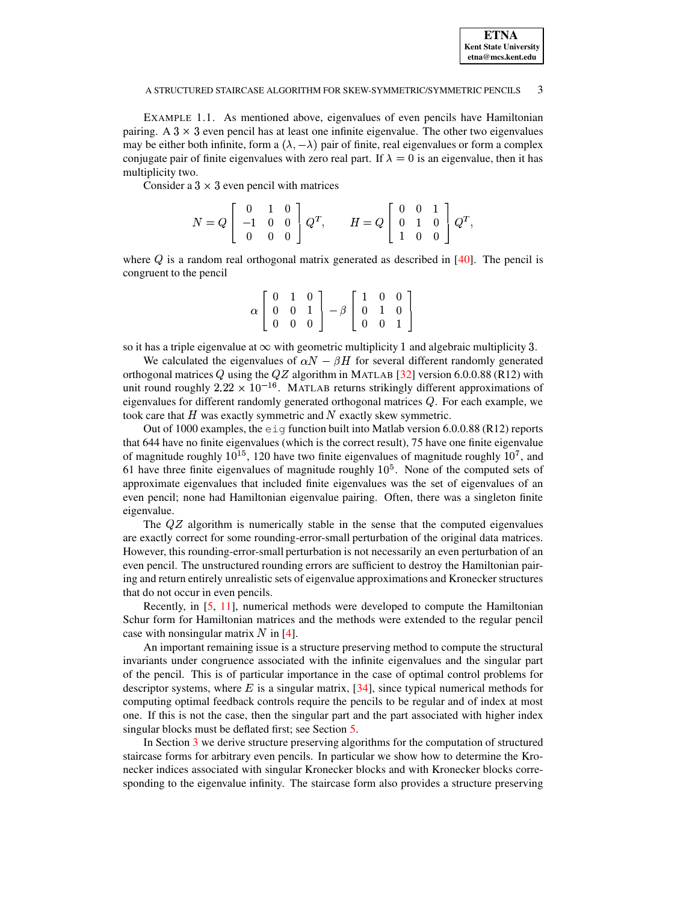EXAMPLE 1.1. As mentioned above, eigenvalues of even pencils have Hamiltonian pairing. A  $3 \times 3$  even pencil has at least one infinite eigenvalue. The other two eigenvalues may be either both infinite, form a  $(\lambda, -\lambda)$  pair of finite, real eigenvalues or form a complex conjugate pair of finite eigenvalues with zero real part. If  $\lambda = 0$  is an eigenvalue, then it has multiplicity two.

Consider a  $3 \times 3$  even pencil with matrices

$$
N=Q\left[\begin{array}{ccc} 0 & 1 & 0 \\ -1 & 0 & 0 \\ 0 & 0 & 0 \end{array}\right]Q^T,\qquad H=Q\left[\begin{array}{ccc} 0 & 0 & 1 \\ 0 & 1 & 0 \\ 1 & 0 & 0 \end{array}\right]Q^T,
$$

where  $Q$  is a random real orthogonal matrix generated as described in  $[40]$ . The pencil is congruent to the pencil

|  |  | $\alpha \left[ \begin{array}{ccc} 0 & 1 & 0 \ 0 & 0 & 1 \ 0 & 0 & 0 \end{array} \right] - \beta \left[ \begin{array}{ccc} 1 & 0 & 0 \ 0 & 1 & 0 \ 0 & 0 & 1 \end{array} \right]$ |  |  |
|--|--|----------------------------------------------------------------------------------------------------------------------------------------------------------------------------------|--|--|
|  |  |                                                                                                                                                                                  |  |  |
|  |  |                                                                                                                                                                                  |  |  |

so it has a triple eigenvalue at  $\infty$  with geometric multiplicity 1 and algebraic multiplicity 3.

We calculated the eigenvalues of  $\alpha N - \beta H$  for several different randomly generated orthogonal matrices Q using the  $QZ$  algorithm in MATLAB [\[32\]](#page-15-13) version 6.0.0.88 (R12) with unit round roughly  $2.22 \times 10^{-16}$ . MATLAB returns strikingly different approximations of eigenvalues for different randomly generated orthogonal matrices  $Q$ . For each example, we took care that  $H$  was exactly symmetric and  $N$  exactly skew symmetric.

Out of 1000 examples, the  $e_i$  function built into Matlab version 6.0.0.88 (R12) reports that 644 have no finite eigenvalues (which is the correct result), 75 have one finite eigenvalue of magnitude roughly  $10^{15}$ , 120 have two finite eigenvalues of magnitude roughly  $10^7$ , and 61 have three finite eigenvalues of magnitude roughly  $10<sup>5</sup>$ . None of the computed sets of approximate eigenvalues that included finite eigenvalues was the set of eigenvalues of an even pencil; none had Hamiltonian eigenvalue pairing. Often, there was a singleton finite eigenvalue.

The  $QZ$  algorithm is numerically stable in the sense that the computed eigenvalues are exactly correct for some rounding-error-small perturbation of the original data matrices. However, this rounding-error-small perturbation is not necessarily an even perturbation of an even pencil. The unstructured rounding errors are sufficient to destroy the Hamiltonian pairing and return entirely unrealistic sets of eigenvalue approximations and Kroneckerstructures that do not occur in even pencils.

Recently, in [\[5,](#page-14-2) [11\]](#page-14-3), numerical methods were developed to compute the Hamiltonian Schur form for Hamiltonian matrices and the methods were extended to the regular pencil case with nonsingular matrix  $N$  in [\[4\]](#page-14-0).

An important remaining issue is a structure preserving method to compute the structural invariants under congruence associated with the infinite eigenvalues and the singular part of the pencil. This is of particular importance in the case of optimal control problems for of the pencil. This is of particular importance in the case of optimal control problems for descriptor systems, where  $E$  is a singular matrix,  $[34]$ , since typical numerical methods for computing optimal feedback controls require the pencils to be regular and of index at most one. If this is not the case, then the singular part and the part associated with higher index singular blocks must be deflated first; see Section [5.](#page-13-0)

In Section [3](#page-7-0) we derive structure preserving algorithms for the computation of structured staircase forms for arbitrary even pencils. In particular we show how to determine the Kronecker indices associated with singular Kronecker blocks and with Kronecker blocks corresponding to the eigenvalue infinity. The staircase form also provides a structure preserving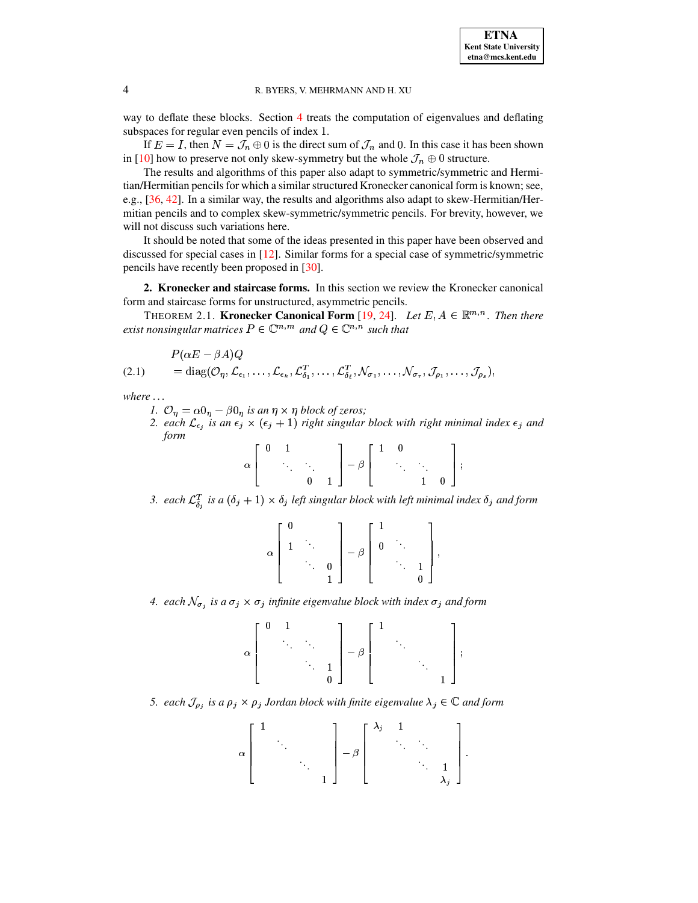way to deflate these blocks. Section [4](#page-11-0) treats the computation of eigenvalues and deflating subspaces for regular even pencils of index 1. paces for regular even pencils of index 1.<br>If  $E = I$ , then  $N = \mathcal{J}_n \oplus 0$  is the direct sum of  $\mathcal{J}_n$  and 0. In this case it has been shown

in [\[10\]](#page-14-4) how to preserve not only skew-symmetry but the whole  $\mathcal{J}_n \oplus 0$  structure.

The results and algorithms of this paper also adapt to symmetric/symmetric and Hermitian/Hermitian pencils for which a similar structured Kronecker canonical form is known; see, e.g., [\[36,](#page-15-14) [42\]](#page-15-15). In a similar way, the results and algorithms also adapt to skew-Hermitian/Hermitian pencils and to complex skew-symmetric/symmetric pencils. For brevity, however, we will not discuss such variations here.

It should be noted that some of the ideas presented in this paper have been observed and discussed for special cases in [\[12\]](#page-14-5). Similar forms for a special case of symmetric/symmetric pencils have recently been proposed in [\[30\]](#page-15-16).

<span id="page-3-0"></span>**2. Kronecker and staircase forms.** In this section we review the Kronecker canonical form and staircase forms for unstructured, asymmetric pencils.

 $\alpha$  and staircase forms for unstructured, asymmetric pencils.<br>THEOREM 2.1. **Kronecker Canonical Form** [\[19,](#page-14-6) [24\]](#page-15-17). *Let*  $E, A \in \mathbb{R}^{m,n}$ . *Then there* exist nonsingular matrices  $P \in \mathbb{C}^{m,m}$  and  $Q \in \mathbb{C}^{n,n}$  such that

$$
P(\alpha E - \beta A)Q
$$
  
(2.1) = diag( $\mathcal{O}_{\eta}, \mathcal{L}_{\epsilon_1}, \dots, \mathcal{L}_{\epsilon_k}, \mathcal{L}_{\delta_1}^T, \dots, \mathcal{L}_{\delta_\ell}^T, \mathcal{N}_{\sigma_1}, \dots, \mathcal{N}_{\sigma_r}, \mathcal{J}_{\rho_1}, \dots, \mathcal{J}_{\rho_s}$ ),

*where . . .*

- *1.*  $\mathcal{O}_\eta = \alpha \mathcal{O}_\eta \beta \mathcal{O}_\eta$  *is an*  $\eta \times \eta$  *block of zeros;*
- 2. *each*  $\mathcal{L}_{\epsilon_i}$  *is an*  $\epsilon_j \times (\epsilon_j + 1)$  *right singular block with right minimal index*  $\epsilon_j$  *and form*  $\blacksquare$

<span id="page-3-1"></span>

|  | $\begin{bmatrix} 0 & 1 \end{bmatrix}$                                               |             |                                                        | $\begin{bmatrix} 1 & 0 \end{bmatrix}$ |                                                                                     |                  |  |
|--|-------------------------------------------------------------------------------------|-------------|--------------------------------------------------------|---------------------------------------|-------------------------------------------------------------------------------------|------------------|--|
|  | $\mathcal{L}^{\text{max}}_{\text{max}}$ and $\mathcal{L}^{\text{max}}_{\text{max}}$ |             | $\left\{ \begin{array}{c} -\beta \end{array} \right\}$ |                                       | $\mathcal{O}(\mathcal{O}_\mathcal{A})$ . The $\mathcal{O}(\mathcal{O}_\mathcal{A})$ |                  |  |
|  |                                                                                     | $0 \quad 1$ |                                                        |                                       |                                                                                     | $1 \quad 0 \mid$ |  |

3. *each*  $\mathcal{L}_{\delta_i}^T$  is a  $(\delta_j + 1) \times \delta_j$  left singular block with left minimal index  $\delta_j$  and form

| $\alpha$ |   | $\beta$ |  |  |
|----------|---|---------|--|--|
|          | ۰ |         |  |  |
|          |   |         |  |  |

4. each  $\mathcal{N}_{\sigma_i}$  is a  $\sigma_j \times \sigma_j$  infinite eigenvalue block with index  $\sigma_j$  and form

$$
\alpha \left[\begin{array}{cccc} 0 & 1 & & & \\ & \ddots & \ddots & \\ & & \ddots & 1 \\ & & & 0 \end{array}\right] - \beta \left[\begin{array}{cccc} 1 & & & \\ & \ddots & \\ & & \ddots & \\ & & & 1 \end{array}\right];
$$

5. each  $\mathcal{J}_{\rho_i}$  is a  $\rho_j \times \rho_j$  Jordan block with finite eigenvalue  $\lambda_j \in \mathbb{C}$  and form

$$
\alpha \begin{bmatrix} 1 & & & \\ & \ddots & & \\ & & \ddots & \\ & & & 1 \end{bmatrix} - \beta \begin{bmatrix} \lambda_j & 1 & & \\ & \ddots & \ddots & \\ & & \ddots & 1 \\ & & & \lambda_j \end{bmatrix}.
$$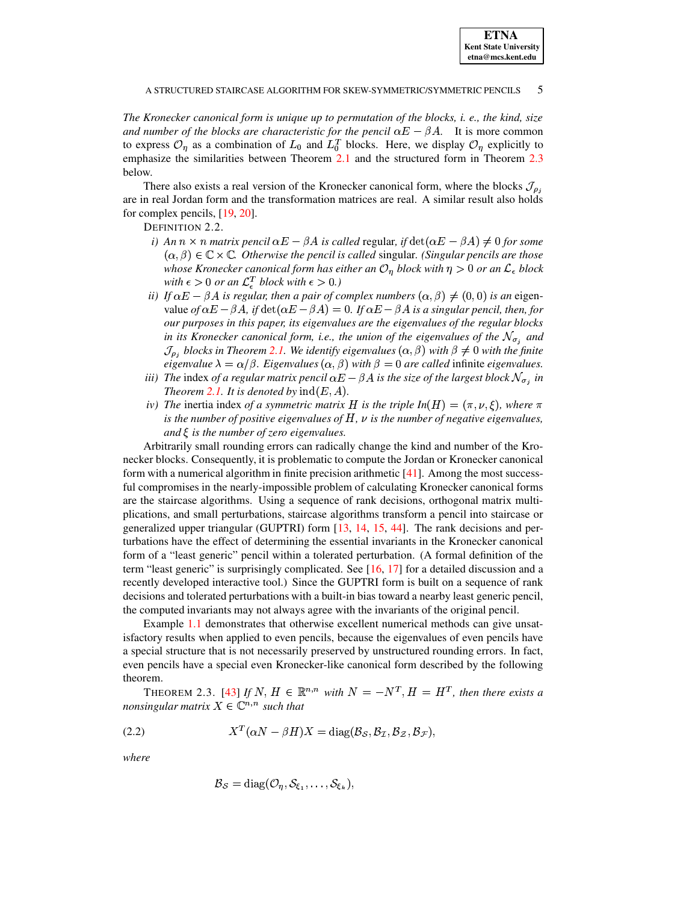The Kronecker canonical form is unique up to permutation of the blocks, i. e., the kind, size and number of the blocks are characteristic for the pencil  $\alpha E - \beta A$ . It is more common to express  $\mathcal{O}_\eta$  as a combination of  $L_0$  and  $L_0^T$  blocks. Here, we display  $\mathcal{O}_\eta$  explicitly to emphasize the similarities between Theorem 2.1 and the structured form in Theorem 2.3 below.

There also exists a real version of the Kronecker canonical form, where the blocks  $\mathcal{J}_{\rho_i}$ are in real Jordan form and the transformation matrices are real. A similar result also holds for complex pencils, [19, 20].

DEFINITION 2.2.

- i) An  $n \times n$  matrix pencil  $\alpha E \beta A$  is called regular, if  $\det(\alpha E \beta A) \neq 0$  for some  $(\alpha, \beta) \in \mathbb{C} \times \mathbb{C}$ . Otherwise the pencil is called singular. (Singular pencils are those whose Kronecker canonical form has either an  $\mathcal{O}_\eta$  block with  $\eta > 0$  or an  $\mathcal{L}_\epsilon$  block with  $\epsilon > 0$  or an  $\mathcal{L}_{\epsilon}^{T}$  block with  $\epsilon > 0$ .)
- ii) If  $\alpha E \beta A$  is regular, then a pair of complex numbers  $(\alpha, \beta) \neq (0, 0)$  is an eigenvalue of  $\alpha E - \beta A$ , if  $\det(\alpha E - \beta A) = 0$ . If  $\alpha E - \beta A$  is a singular pencil, then, for our purposes in this paper, its eigenvalues are the eigenvalues of the regular blocks in its Kronecker canonical form, i.e., the union of the eigenvalues of the  $N_{\sigma_i}$  and  $\mathcal{J}_{\rho_i}$  blocks in Theorem 2.1. We identify eigenvalues  $(\alpha, \beta)$  with  $\beta \neq 0$  with the finite eigenvalue  $\lambda = \alpha/\beta$ . Eigenvalues  $(\alpha, \beta)$  with  $\beta = 0$  are called infinite eigenvalues.
- iii) The index of a regular matrix pencil  $\alpha E \beta A$  is the size of the largest block  $\mathcal{N}_{\sigma_i}$  in Theorem 2.1. It is denoted by  $\text{ind}(E, A)$ .
- iv) The inertia index of a symmetric matrix H is the triple  $In(H) = (\pi, \nu, \xi)$ , where  $\pi$ is the number of positive eigenvalues of  $H$ ,  $\nu$  is the number of negative eigenvalues, and  $\xi$  is the number of zero eigenvalues.

Arbitrarily small rounding errors can radically change the kind and number of the Kronecker blocks. Consequently, it is problematic to compute the Jordan or Kronecker canonical form with a numerical algorithm in finite precision arithmetic  $[41]$ . Among the most successful compromises in the nearly-impossible problem of calculating Kronecker canonical forms are the staircase algorithms. Using a sequence of rank decisions, orthogonal matrix multiplications, and small perturbations, staircase algorithms transform a pencil into staircase or generalized upper triangular (GUPTRI) form [13, 14, 15, 44]. The rank decisions and perturbations have the effect of determining the essential invariants in the Kronecker canonical form of a "least generic" pencil within a tolerated perturbation. (A formal definition of the term "least generic" is surprisingly complicated. See  $[16, 17]$  for a detailed discussion and a recently developed interactive tool.) Since the GUPTRI form is built on a sequence of rank decisions and tolerated perturbations with a built-in bias toward a nearby least generic pencil, the computed invariants may not always agree with the invariants of the original pencil.

Example 1.1 demonstrates that otherwise excellent numerical methods can give unsatisfactory results when applied to even pencils, because the eigenvalues of even pencils have a special structure that is not necessarily preserved by unstructured rounding errors. In fact, even pencils have a special even Kronecker-like canonical form described by the following theorem.

<span id="page-4-0"></span>THEOREM 2.3. [43] If N,  $H \in \mathbb{R}^{n,n}$  with  $N = -N^T$ ,  $H = H^T$ , then there exists a nonsingular matrix  $X \in \mathbb{C}^{n,n}$  such that

<span id="page-4-1"></span>
$$
(2.2) \t\t XT(\alpha N - \beta H)X = \text{diag}(\mathcal{B}_{\mathcal{S}}, \mathcal{B}_{\mathcal{I}}, \mathcal{B}_{\mathcal{Z}}, \mathcal{B}_{\mathcal{F}}),
$$

where

$$
\mathcal{B}_{\mathcal{S}} = \mathrm{diag}(\mathcal{O}_{\eta}, \mathcal{S}_{\xi_1}, \ldots, \mathcal{S}_{\xi_k}),
$$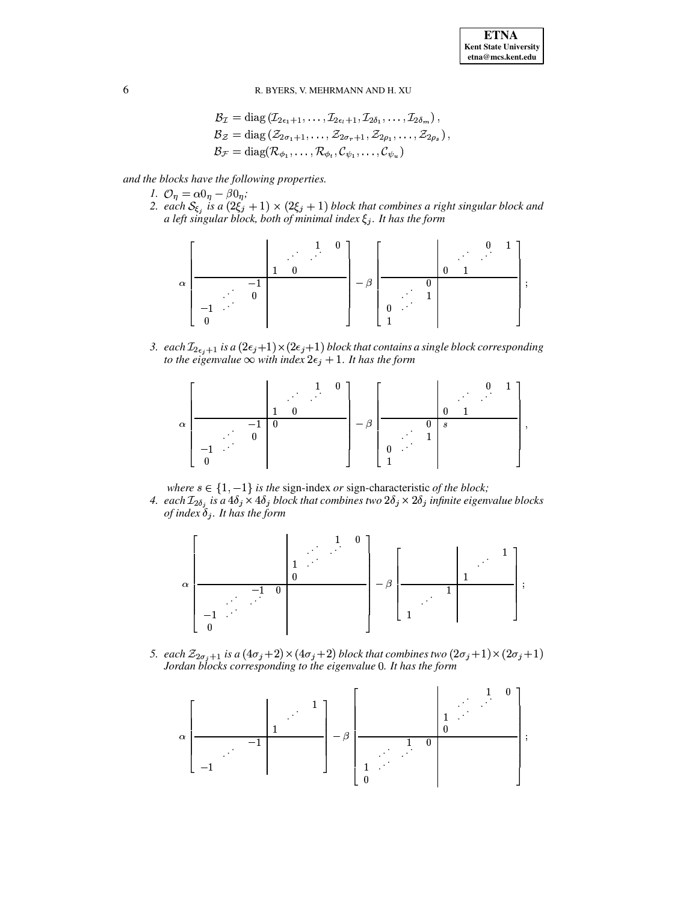$$
\mathcal{B}_{\mathcal{I}} = \text{diag}(\mathcal{I}_{2\epsilon_1+1}, \dots, \mathcal{I}_{2\epsilon_1+1}, \mathcal{I}_{2\delta_1}, \dots, \mathcal{I}_{2\delta_m}),
$$
  
\n
$$
\mathcal{B}_{\mathcal{Z}} = \text{diag}(\mathcal{Z}_{2\sigma_1+1}, \dots, \mathcal{Z}_{2\sigma_r+1}, \mathcal{Z}_{2\rho_1}, \dots, \mathcal{Z}_{2\rho_s}),
$$
  
\n
$$
\mathcal{B}_{\mathcal{F}} = \text{diag}(\mathcal{R}_{\phi_1}, \dots, \mathcal{R}_{\phi_t}, \mathcal{C}_{\psi_1}, \dots, \mathcal{C}_{\psi_u})
$$

and the blocks have the following properties.

- 1.  $\mathcal{O}_n = \alpha \mathbf{0}_n \beta \mathbf{0}_n$ ;
- 2. each  $S_{\xi_j}$  is a  $(2\xi_j + 1) \times (2\xi_j + 1)$  block that combines a right singular block and a left singular block, both of minimal index  $\xi_j$ . It has the form



3. each  $\mathcal{I}_{2\epsilon_i+1}$  is a  $(2\epsilon_i+1)\times(2\epsilon_i+1)$  block that contains a single block corresponding to the eigenvalue  $\infty$  with index  $2\epsilon_j + 1$ . It has the form



where  $s \in \{1, -1\}$  is the sign-index or sign-characteristic of the block;

4. each  $\mathcal{I}_{2\delta_j}$  is a  $4\delta_j \times 4\delta_j$  block that combines two  $2\delta_j \times 2\delta_j$  infinite eigenvalue blocks of index  $\delta_i$ . It has the form



5. each  $\mathcal{Z}_{2\sigma_i+1}$  is a  $(4\sigma_j+2) \times (4\sigma_j+2)$  block that combines two  $(2\sigma_j+1) \times (2\sigma_j+1)$ Jordan blocks corresponding to the eigenvalue 0. It has the form

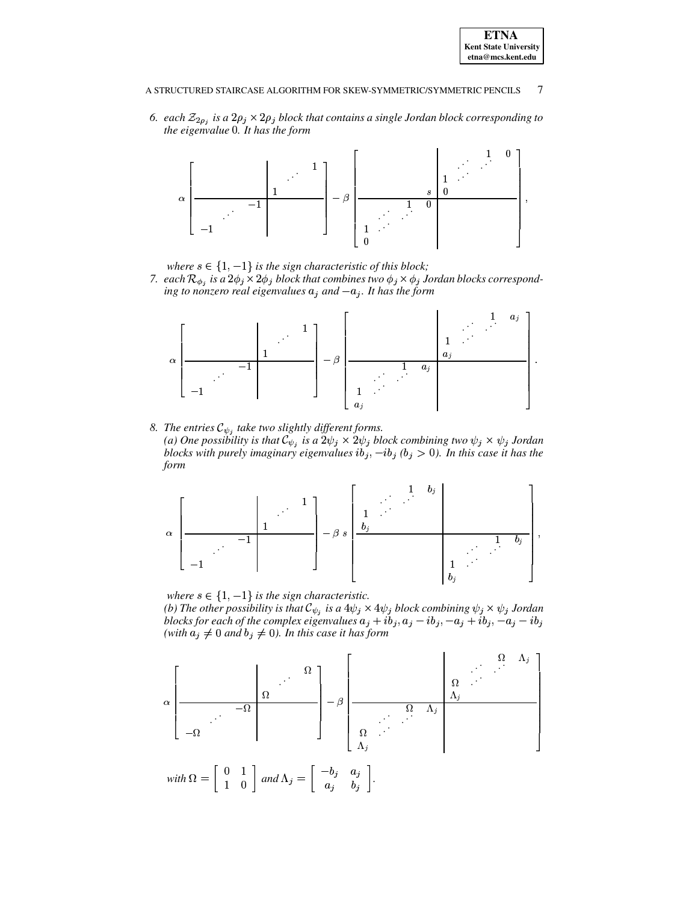

6. *each*  $\mathcal{Z}_{2\rho_i}$  is a  $2\rho_i \times 2\rho_j$  block that contains a single Jordan block corresponding to *the eigenvalue* 0. It has the form



where  $s \in \{1, -1\}$  is the sign characteristic of this block;

*7. each*  $\mathcal{R}_{\phi}$ , *is a*  $2\phi_i \times 2\phi_j$  *block that combines two*  $\phi_i \times \phi_i$  *Jordan blocks correspond* $i$ *ng to nonzero real eigenvalues*  $a_j$  *and*  $-a_j$ *. It has the form* 



8. The entries  $\mathcal{C}_{\psi}$ , take two slightly different forms. (a) One possibility is that  $\mathcal{C}_{\psi_j}$  is a  $2\psi_j \times 2\psi_j$  block combining two  $\psi_j \times \psi_j$  Jordan *blocks* with purely imaginary eigenvalues  $ib_j$ ,  $-ib_j$  ( $b_j > 0$ ). In this case it has the *form*



where  $s \in \{1, -1\}$  *is the sign characteristic. (b)* The other possibility is that  $\mathcal{C}_{\psi_j}$  is a  $4\psi_j \times 4\psi_j$  block combining  $\psi_j \times \psi_j$  Jordan blocks for each of the complex eigenvalues  $a_j + ib_j$ ,  $a_j - ib_j$ ,  $-a_j + ib_j$ ,  $-a_j - ib_j$ *(with*  $a_j \neq 0$  *and*  $b_j \neq 0$ *). In this case it has form* 

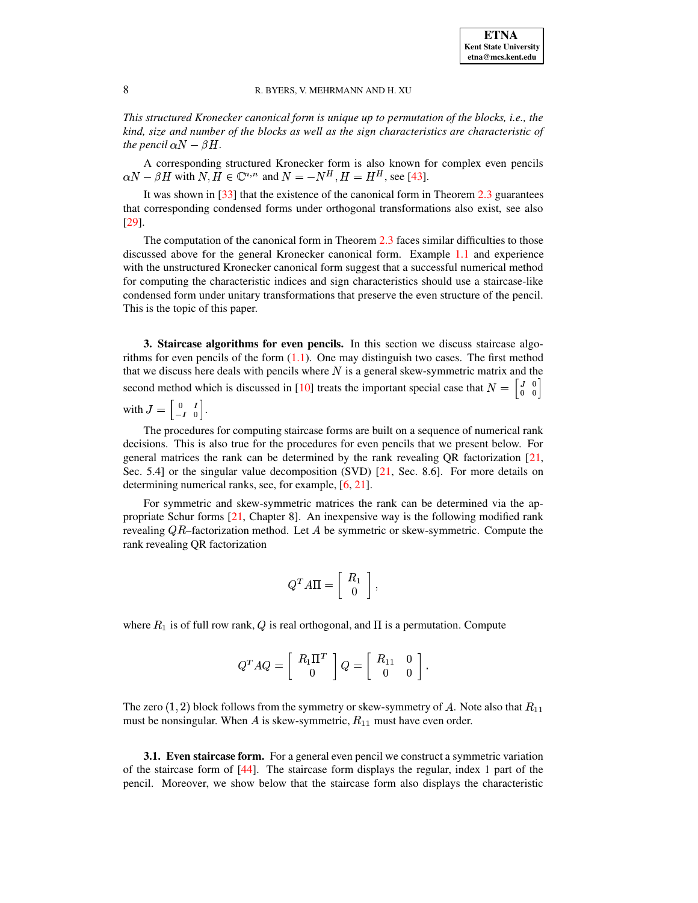*This structured Kronecker canonical form is unique up to permutation of the blocks, i.e., the kind, size and number of the blocks as well as the sign characteristics are characteristic of the pencil*  $\alpha N - \beta H$ .

A corresponding structured Kronecker form is also known for complex even pencils  $\alpha N - \beta H$  with  $N, H \in \mathbb{C}^{n,n}$  and  $N = -N^H, H = H^H$ , see [\[43\]](#page-15-11).

It was shown in  $\left[33\right]$  that the existence of the canonical form in Theorem [2.3](#page-4-0) guarantees that corresponding condensed forms under orthogonal transformations also exist, see also [\[29\]](#page-15-10).

The computation of the canonical form in Theorem [2.3](#page-4-0) faces similar difficulties to those discussed above for the general Kronecker canonical form. Example [1.1](#page-1-1) and experience with the unstructured Kronecker canonical form suggest that a successful numerical method for computing the characteristic indices and sign characteristics should use a staircase-like condensed form under unitary transformations that preserve the even structure of the pencil. This is the topic of this paper.

<span id="page-7-0"></span>**3. Staircase algorithms for even pencils.** In this section we discuss staircase algorithms for even pencils of the form  $(1.1)$ . One may distinguish two cases. The first method that we discuss here deals with pencils where  $N$  is a general skew-symmetric matrix and the second method which is discussed in [\[10\]](#page-14-4) treats the important special case that  $N = \begin{bmatrix} 3 & 0 \\ 0 & 0 \end{bmatrix}$ with  $J = \begin{bmatrix} 0 & I \\ -I & 0 \end{bmatrix}$ .

The procedures for computing staircase forms are built on a sequence of numerical rank decisions. This is also true for the procedures for even pencils that we present below. For general matrices the rank can be determined by the rank revealing QR factorization [\[21,](#page-14-13) Sec. 5.4] or the singular value decomposition (SVD) [\[21,](#page-14-13) Sec. 8.6]. For more details on determining numerical ranks, see, for example, [\[6,](#page-14-14) [21\]](#page-14-13).

For symmetric and skew-symmetric matrices the rank can be determined via the appropriate Schur forms [\[21,](#page-14-13) Chapter 8]. An inexpensive way is the following modified rank revealing  $QR$ -factorization method. Let A be symmetric or skew-symmetric. Compute the rank revealing QR factorization

$$
Q^T A \Pi = \left[ \begin{array}{c} R_1 \\ 0 \end{array} \right],
$$

where  $R_1$  is of full row rank, Q is real orthogonal, and  $\Pi$  is a permutation. Compute

$$
Q^T A Q = \left[ \begin{array}{c} R_1 \Pi^T \\ 0 \end{array} \right] Q = \left[ \begin{array}{cc} R_{11} & 0 \\ 0 & 0 \end{array} \right].
$$

The zero  $(1, 2)$  block follows from the symmetry or skew-symmetry of  $A$ . Note also that  $R_{11}$ must be nonsingular. When A is skew-symmetric,  $R_{11}$  must have even order.

**3.1. Even staircase form.** For a general even pencil we construct a symmetric variation of the staircase form of  $[44]$ . The staircase form displays the regular, index 1 part of the pencil. Moreover, we show below that the staircase form also displays the characteristic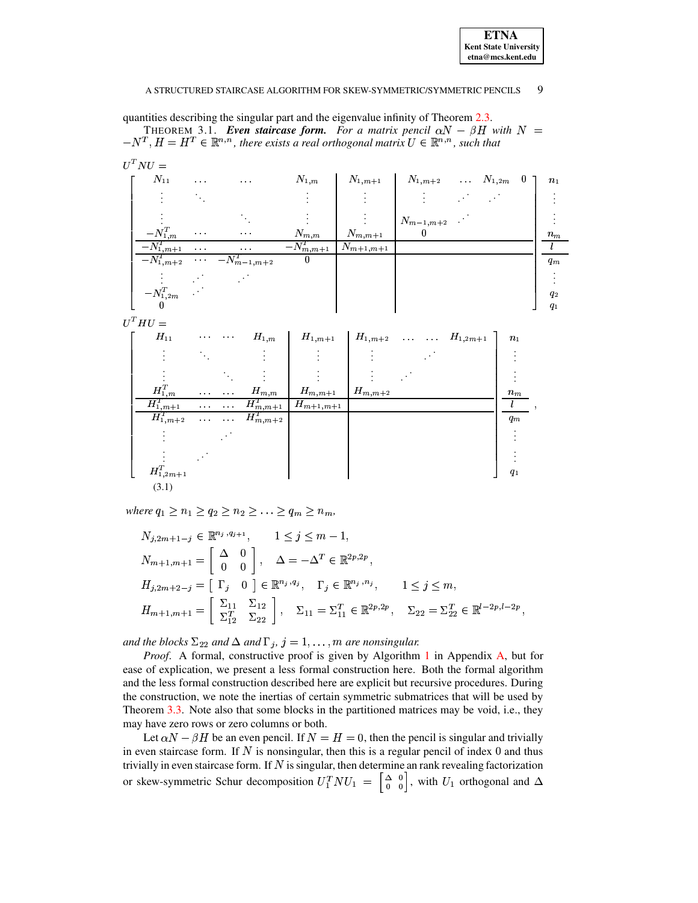| <b>ETNA</b>                  |
|------------------------------|
| <b>Kent State University</b> |
| etna@mcs.kent.edu            |

<span id="page-8-0"></span>quantities describing the singular part and the eigenvalue infinity of Theorem 2.3.

THEOREM 3.1. Even staircase form. For a matrix pencil  $\alpha N - \beta H$  with  $N =$  $-N^T$ ,  $H = H^T \in \mathbb{R}^{n,n}$ , there exists a real orthogonal matrix  $U \in \mathbb{R}^{n,n}$ , such that

<span id="page-8-1"></span>

| $U^T N U =$                                                |                       |                                                           |               |                           |                                                                   |  |                |
|------------------------------------------------------------|-----------------------|-----------------------------------------------------------|---------------|---------------------------|-------------------------------------------------------------------|--|----------------|
| $N_{11}$                                                   | $\sim 10^{-1}$        | $\sim$ $\sim$                                             | $N_{1,m}$     |                           | $N_{1,m+1}$ $N_{1,m+2}$ $N_{1,2m}$ 0                              |  | n <sub>1</sub> |
|                                                            |                       |                                                           |               | $\mathbb{R}^n$            |                                                                   |  |                |
|                                                            |                       |                                                           |               |                           | $\begin{array}{ l } N_{m-1,m+2} & \cdot \ \hline 0 & \end{array}$ |  |                |
| $-N_{1,m}^T$                                               | $\sim 100$            | $\alpha$ , $\alpha$ , $\alpha$                            | $N_{m,m}$     | $N_{m,m+1}$               |                                                                   |  | $n_m$          |
| $-N_{1,m+1}^T$                                             | $\sim 100$ km $^{-1}$ | $\alpha$ , $\alpha$ , $\alpha$                            | $N_{m,m+1}^T$ | $N_{m+1,\underline{m+1}}$ |                                                                   |  |                |
| $-N_{1,m+2}^T$                                             |                       | $\overline{\cdots}$ $\overline{\phantom{0}N_{m-1,m+2}^T}$ | $\bf{0}$      |                           |                                                                   |  | $q_m$          |
|                                                            |                       |                                                           |               |                           |                                                                   |  |                |
| $\begin{bmatrix} -N_{1,2m}^T & \cdot \\ 0 & \end{bmatrix}$ |                       |                                                           |               |                           |                                                                   |  | $q_2$          |
|                                                            |                       |                                                           |               |                           |                                                                   |  | q <sub>1</sub> |

 $U^T H U =$ 

| $H_{11}$         | $\mathbf{a}$ , $\mathbf{a}$ , $\mathbf{a}$ , | <b>Contractor</b>              | $H_{1,m}$                 | $H_{1,m+1}$               |                         |  | $H_{1,m+2}$ $H_{1,2m+1}$ | $n_1$ |  |
|------------------|----------------------------------------------|--------------------------------|---------------------------|---------------------------|-------------------------|--|--------------------------|-------|--|
|                  |                                              |                                |                           |                           |                         |  |                          |       |  |
|                  |                                              |                                |                           |                           |                         |  |                          |       |  |
| $H_{1,m}^T$      | $\alpha$ , $\alpha$ , $\alpha$               | $\alpha$ , $\alpha$ , $\alpha$ | $H_{m,m}$                 | $H_{m,m+1}$               | $H_{m,\underline{m+2}}$ |  |                          | $n_m$ |  |
| $H^T_{1,m+1}$    | $\alpha$ , $\alpha$ , $\alpha$               | $\alpha$ , $\alpha$ , $\alpha$ | $H^T_{m,\underline{m+1}}$ | $H_{m+\underline{1,m+1}}$ |                         |  |                          |       |  |
| $H_{1,m+2}^T$    | $\sim$ $\sim$ $\sim$                         | $\sim$ $\sim$                  | $H_{m,m+2}^T$             |                           |                         |  |                          | $q_m$ |  |
|                  |                                              |                                |                           |                           |                         |  |                          |       |  |
|                  |                                              |                                |                           |                           |                         |  |                          |       |  |
| $H_{1,2m+1}^{T}$ |                                              |                                |                           |                           |                         |  |                          | $q_1$ |  |
| (3.1)            |                                              |                                |                           |                           |                         |  |                          |       |  |

where  $q_1 \geq n_1 \geq q_2 \geq n_2 \geq \ldots \geq q_m \geq n_m$ ,

$$
N_{j,2m+1-j} \in \mathbb{R}^{n_j, q_{j+1}}, \qquad 1 \le j \le m-1,
$$
  
\n
$$
N_{m+1,m+1} = \begin{bmatrix} \Delta & 0 \\ 0 & 0 \end{bmatrix}, \quad \Delta = -\Delta^T \in \mathbb{R}^{2p,2p},
$$
  
\n
$$
H_{j,2m+2-j} = \begin{bmatrix} \Gamma_j & 0 \end{bmatrix} \in \mathbb{R}^{n_j, q_j}, \quad \Gamma_j \in \mathbb{R}^{n_j, n_j}, \qquad 1 \le j \le m,
$$
  
\n
$$
H_{m+1,m+1} = \begin{bmatrix} \Sigma_{11} & \Sigma_{12} \\ \Sigma_{12}^T & \Sigma_{22} \end{bmatrix}, \quad \Sigma_{11} = \Sigma_{11}^T \in \mathbb{R}^{2p,2p}, \quad \Sigma_{22} = \Sigma_{22}^T \in \mathbb{R}^{l-2p,l-2p},
$$

and the blocks  $\Sigma_{22}$  and  $\Delta$  and  $\Gamma_j$ ,  $j = 1, \ldots, m$  are nonsingular.

*Proof.* A formal, constructive proof is given by Algorithm 1 in Appendix A, but for ease of explication, we present a less formal construction here. Both the formal algorithm and the less formal construction described here are explicit but recursive procedures. During the construction, we note the inertias of certain symmetric submatrices that will be used by Theorem 3.3. Note also that some blocks in the partitioned matrices may be void, i.e., they may have zero rows or zero columns or both.

Let  $\alpha N - \beta H$  be an even pencil. If  $N = H = 0$ , then the pencil is singular and trivially in even staircase form. If  $N$  is nonsingular, then this is a regular pencil of index  $0$  and thus trivially in even staircase form. If  $N$  is singular, then determine an rank revealing factorization or skew-symmetric Schur decomposition  $U_1^T N U_1 = \begin{bmatrix} \Delta & 0 \\ 0 & 0 \end{bmatrix}$ , with  $U_1$  orthogonal and  $\Delta$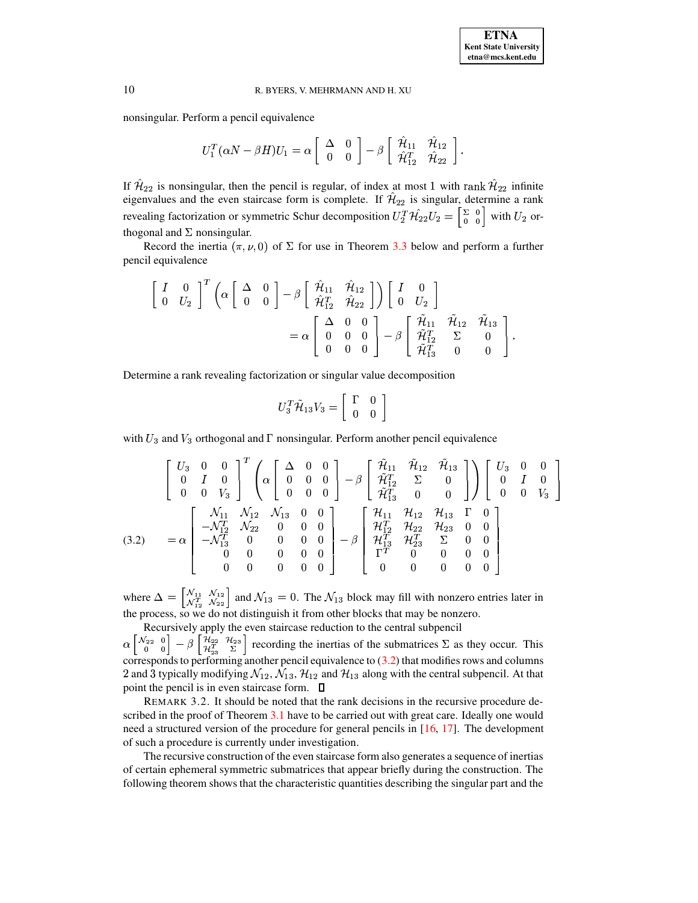nonsingular. Perform a pencil equivalence

$$
U_1^T(\alpha N-\beta H)U_1=\alpha\left[\begin{array}{cc}\Delta&0\\0&0\end{array}\right]-\beta\left[\begin{array}{cc}\hat{\mathcal{H}}_{11}&\hat{\mathcal{H}}_{12}\\ \hat{\mathcal{H}}_{12}^T&\hat{\mathcal{H}}_{22}\end{array}\right].
$$

If  $\hat{\mathcal{H}}_{22}$  is nonsingular, then the pencil is regular, of index at most 1 with rank  $\hat{\mathcal{H}}_{22}$  infinite eigenvalues and the even staircase form is complete. If  $\hat{\mathcal{H}}_{22}$  is singular, determine a rank revealing factorization or symmetric Schur decomposition  $U_2^T \mathcal{H}_{22} U_2 = \begin{bmatrix} 2 & 0 \\ 0 & 0 \end{bmatrix}$  with U  $\int_0^0$  with  $U_2$  orthogonal and  $\Sigma$  nonsingular.

Record the inertia  $(\pi, \nu, 0)$  of  $\Sigma$  for use in Theorem [3.3](#page-10-0) below and perform a further pencil equivalence

$$
\begin{bmatrix} I & 0 \\ 0 & U_2 \end{bmatrix}^T \left( \alpha \begin{bmatrix} \Delta & 0 \\ 0 & 0 \end{bmatrix} - \beta \begin{bmatrix} \hat{\mathcal{H}}_{11} & \hat{\mathcal{H}}_{12} \\ \hat{\mathcal{H}}_{12}^T & \hat{\mathcal{H}}_{22} \end{bmatrix} \right) \begin{bmatrix} I & 0 \\ 0 & U_2 \end{bmatrix} \\
= \alpha \begin{bmatrix} \Delta & 0 & 0 \\ 0 & 0 & 0 \\ 0 & 0 & 0 \end{bmatrix} - \beta \begin{bmatrix} \hat{\mathcal{H}}_{11} & \hat{\mathcal{H}}_{12} & \hat{\mathcal{H}}_{13} \\ \hat{\mathcal{H}}_{12}^T & \Sigma & 0 \\ \hat{\mathcal{H}}_{13}^T & 0 & 0 \end{bmatrix}.
$$

Determine a rank revealing factorization or singular value decomposition

$$
U_3^T \tilde{\mathcal{H}}_{13} V_3 = \left[ \begin{array}{cc} \Gamma & 0 \\ 0 & 0 \end{array} \right]
$$

with  $U_3$  and  $V_3$  orthogonal and  $\Gamma$  nonsingular. Perform another pencil equivalence

<span id="page-9-0"></span>
$$
\begin{bmatrix}\nU_3 & 0 & 0 \\
0 & I & 0 \\
0 & 0 & V_3\n\end{bmatrix}^T \begin{bmatrix}\n\alpha \begin{bmatrix}\n\Delta & 0 & 0 \\
0 & 0 & 0 \\
0 & 0 & 0\n\end{bmatrix} - \beta \begin{bmatrix}\n\tilde{\mathcal{H}}_{11} & \tilde{\mathcal{H}}_{12} & \tilde{\mathcal{H}}_{13} \\
\tilde{\mathcal{H}}_{12}^T & \Sigma & 0 \\
\tilde{\mathcal{H}}_{13}^T & 0 & 0\n\end{bmatrix}\n\end{bmatrix} \begin{bmatrix}\nU_3 & 0 & 0 \\
0 & I & 0 \\
0 & 0 & V_3\n\end{bmatrix}
$$
\n
$$
(3.2) = \alpha \begin{bmatrix}\n\mathcal{N}_{11} & \mathcal{N}_{12} & \mathcal{N}_{13} & 0 & 0 \\
-\mathcal{N}_{12}^T & \mathcal{N}_{22} & 0 & 0 & 0 \\
-\mathcal{N}_{13}^T & 0 & 0 & 0 & 0 \\
0 & 0 & 0 & 0 & 0 \\
0 & 0 & 0 & 0 & 0\n\end{bmatrix} - \beta \begin{bmatrix}\n\mathcal{H}_{11} & \mathcal{H}_{12} & \mathcal{H}_{13} & \Gamma & 0 \\
\mathcal{H}_{12}^T & \mathcal{H}_{22} & \mathcal{H}_{23} & 0 & 0 \\
\mathcal{H}_{13}^T & \mathcal{H}_{23}^T & \Sigma & 0 & 0 \\
\Gamma^T & 0 & 0 & 0 & 0 \\
0 & 0 & 0 & 0 & 0\n\end{bmatrix}
$$

where  $\Delta = \begin{bmatrix} \mathcal{N}_{11} & \mathcal{N}_{12} \\ \mathcal{N}^T & \mathcal{N}_{22} \end{bmatrix}$  are  $\left|\frac{\mathcal{N}_{11}}{\mathcal{N}_{12}^T}\right|$  and  $\mathcal{N}_{13}=0$  $\mathcal{N}_{12}^{12}$  and  $\mathcal{N}_{13} = 0$ . The  $\mathcal{N}_{13}$  block may fill with nonzero entries later in the process, so we do not distinguish it from other blocks that may be nonzero.

Recursively apply the even staircase reduction to the central subpencil

 $\mathcal{N}_{22}$  0  $\mathcal{U}_{22}$  $\begin{bmatrix} \chi_{22} & 0 \ 0 & 0 \end{bmatrix} = \beta \begin{bmatrix} \mathcal{H}_{22} & \mathcal{H}_{23} \ \mathcal{H}_{23}^T & \Sigma \end{bmatrix}$  recording  $\mathbb{Z}^{223}$  recording the inertias of the submatrices  $\Sigma$  as they occur. This corresponds to performing another pencil equivalence to  $(3.2)$  that modifies rows and columns 2 and 3 typically modifying  $\mathcal{N}_{12}$ ,  $\mathcal{N}_{13}$ ,  $\mathcal{H}_{12}$  and  $\mathcal{H}_{13}$  along with the central subpencil. At that point the pencil is in even staircase form.

REMARK 3.2. It should be noted that the rank decisions in the recursive procedure de-scribed in the proof of Theorem [3.1](#page-8-0) have to be carried out with great care. Ideally one would need a structured version of the procedure for general pencils in [\[16,](#page-14-11) [17\]](#page-14-12). The development of such a procedure is currently under investigation.

The recursive construction of the even staircase form also generates a sequence of inertias of certain ephemeral symmetric submatrices that appear briefly during the construction. The following theorem shows that the characteristic quantities describing the singular part and the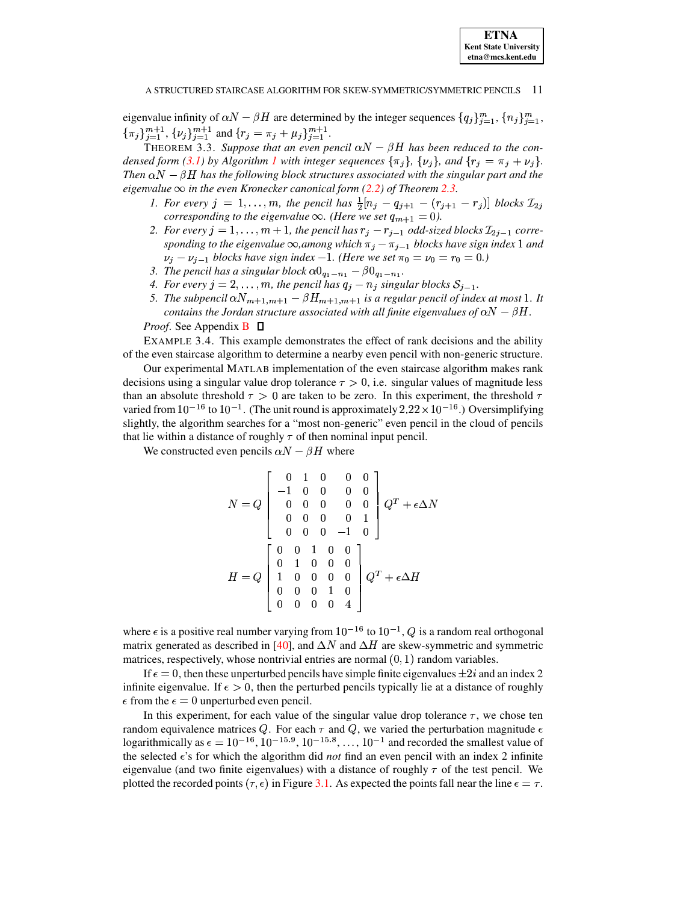eigenvalue infinity of  $\alpha N - \beta H$  are determined by the integer sequences  $\{q_i\}_{i=1}^m$ ,  $\{n_i\}_{i=1}^m$ ,  $\{\pi_j\}_{j=1}^{m+1}$ ,  $\{\nu_j\}_{j=1}^{m+1}$  and  $\{r_j = \pi_j + \mu_j\}_{j=1}^{m+1}$ .

THEOREM 3.3. Suppose that an even pencil  $\alpha N - \beta H$  has been reduced to the condensed form (3.1) by Algorithm 1 with integer sequences  $\{\pi_i\}$ ,  $\{\nu_i\}$ , and  $\{r_i = \pi_i + \nu_i\}$ . Then  $\alpha N - \beta H$  has the following block structures associated with the singular part and the eigenvalue  $\infty$  in the even Kronecker canonical form (2.2) of Theorem 2.3.

- <span id="page-10-0"></span>1. For every  $j = 1, ..., m$ , the pencil has  $\frac{1}{2}[n_j - q_{j+1} - (r_{j+1} - r_j)]$  blocks  $\mathcal{I}_{2j}$ corresponding to the eigenvalue  $\infty$ . (Here we set  $q_{m+1} = 0$ ).
- 2. For every  $j = 1, ..., m + 1$ , the pencil has  $r_j r_{j-1}$  odd-sized blocks  $\mathcal{I}_{2j-1}$  corresponding to the eigenvalue  $\infty$ , among which  $\pi_j - \pi_{j-1}$  blocks have sign index 1 and  $\nu_i - \nu_{i-1}$  blocks have sign index -1. (Here we set  $\pi_0 = \nu_0 = r_0 = 0$ .)
- 3. The pencil has a singular block  $\alpha 0_{q_1 n_1} \beta 0_{q_1 n_1}$ .
- 4. For every  $j = 2, \ldots, m$ , the pencil has  $q_j n_j$  singular blocks  $S_{j-1}$ .
- 5. The subpencil  $\alpha N_{m+1,m+1} \beta H_{m+1,m+1}$  is a regular pencil of index at most 1. It contains the Jordan structure associated with all finite eigenvalues of  $\alpha N - \beta H$ .

*Proof.* See Appendix  $\bf{B}$   $\Box$ 

<span id="page-10-1"></span>EXAMPLE 3.4. This example demonstrates the effect of rank decisions and the ability of the even staircase algorithm to determine a nearby even pencil with non-generic structure.

Our experimental MATLAB implementation of the even staircase algorithm makes rank decisions using a singular value drop tolerance  $\tau > 0$ , i.e. singular values of magnitude less than an absolute threshold  $\tau > 0$  are taken to be zero. In this experiment, the threshold  $\tau$ varied from  $10^{-16}$  to  $10^{-1}$ . (The unit round is approximately  $2.22 \times 10^{-16}$ .) Oversimplifying slightly, the algorithm searches for a "most non-generic" even pencil in the cloud of pencils that lie within a distance of roughly  $\tau$  of then nominal input pencil.

We constructed even pencils  $\alpha N - \beta H$  where

$$
N = Q \begin{bmatrix} 0 & 1 & 0 & 0 & 0 \\ -1 & 0 & 0 & 0 & 0 \\ 0 & 0 & 0 & 0 & 0 \\ 0 & 0 & 0 & 0 & 1 \\ 0 & 0 & 0 & -1 & 0 \end{bmatrix} Q^{T} + \epsilon \Delta N
$$

$$
H = Q \begin{bmatrix} 0 & 0 & 1 & 0 & 0 \\ 0 & 1 & 0 & 0 & 0 \\ 1 & 0 & 0 & 0 & 0 \\ 0 & 0 & 0 & 1 & 0 \\ 0 & 0 & 0 & 0 & 4 \end{bmatrix} Q^{T} + \epsilon \Delta H
$$

where  $\epsilon$  is a positive real number varying from  $10^{-16}$  to  $10^{-1}$ , Q is a random real orthogonal matrix generated as described in [40], and  $\Delta N$  and  $\Delta H$  are skew-symmetric and symmetric matrices, respectively, whose nontrivial entries are normal  $(0, 1)$  random variables.

If  $\epsilon = 0$ , then these unperturbed pencils have simple finite eigenvalues  $\pm 2i$  and an index 2 infinite eigenvalue. If  $\epsilon > 0$ , then the perturbed pencils typically lie at a distance of roughly  $\epsilon$  from the  $\epsilon = 0$  unperturbed even pencil.

In this experiment, for each value of the singular value drop tolerance  $\tau$ , we chose ten random equivalence matrices Q. For each  $\tau$  and Q, we varied the perturbation magnitude  $\epsilon$ logarithmically as  $\epsilon = 10^{-16}$ ,  $10^{-15.9}$ ,  $10^{-15.8}$ , ...,  $10^{-1}$  and recorded the smallest value of the selected  $\epsilon$ 's for which the algorithm did *not* find an even pencil with an index 2 infinite eigenvalue (and two finite eigenvalues) with a distance of roughly  $\tau$  of the test pencil. We plotted the recorded points ( $\tau$ ,  $\epsilon$ ) in Figure 3.1. As expected the points fall near the line  $\epsilon = \tau$ .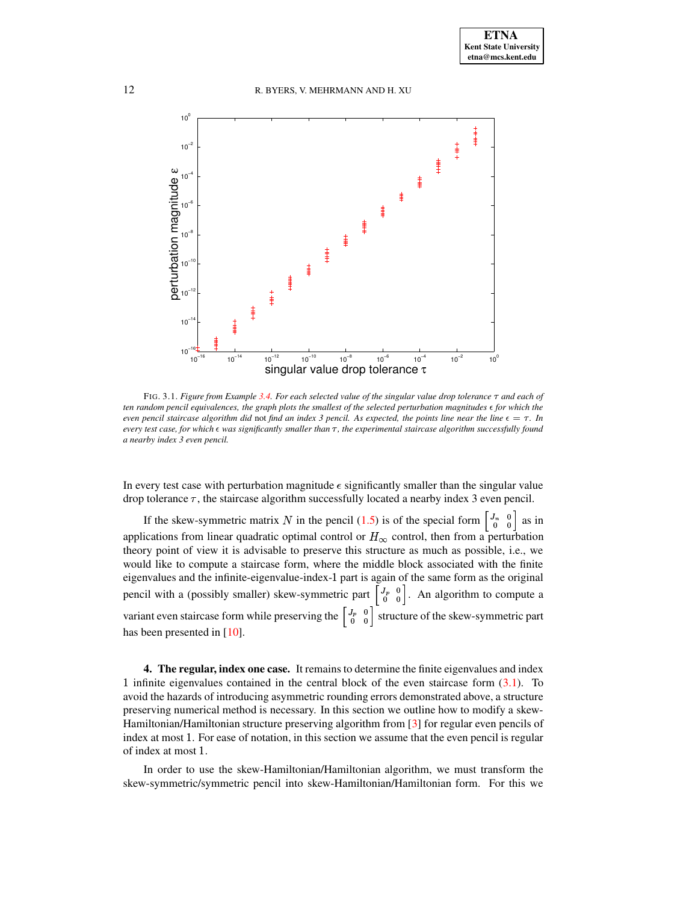

<span id="page-11-1"></span>FIG. 3.1. Figure from Example [3.4.](#page-10-1) For each selected value of the singular value drop tolerance  $\tau$  and each of ten random pencil equivalences, the graph plots the smallest of the selected perturbation magnitudes  $\epsilon$  for which the even pencil staircase algorithm did not find an index 3 pencil. As expected, the points line near the line  $\epsilon = \tau$ . In every test case, for which  $\epsilon$  was significantly smaller than  $\tau$ , the experimental staircase algorithm successfully found *a nearby index 3 even pencil.*

In every test case with perturbation magnitude  $\epsilon$  significantly smaller than the singular value drop tolerance  $\tau$ , the staircase algorithm successfully located a nearby index 3 even pencil.

If the skew-symmetric matrix N in the pencil [\(1.5\)](#page-1-0) is of the special form  $\begin{bmatrix} J_n & 0 \\ 0 & 0 \end{bmatrix}$  as in applications from linear quadratic optimal control or  $H_{\infty}$  control, then from a perturbation theory point of view it is advisable to preserve this structure as much as possible, i.e., we would like to compute a staircase form, where the middle block associated with the finite eigenvalues and the infinite-eigenvalue-index-1 part is again of the same form as the original pencil with a (possibly smaller) skew-symmetric part  $\begin{bmatrix} J_p & 0 \\ 0 & 0 \end{bmatrix}$ . An algorithm to compute a variant even staircase form while preserving the  $\begin{bmatrix} J_p & 0 \\ 0 & 0 \end{bmatrix}$  structure of the skew-symmetric part has been presented in [\[10\]](#page-14-4).

<span id="page-11-0"></span>**4. The regular, index one case.** It remains to determine the finite eigenvalues and index 1 infinite eigenvalues contained in the central block of the even staircase form  $(3.1)$ . To avoid the hazards of introducing asymmetric rounding errors demonstrated above, a structure preserving numerical method is necessary. In this section we outline how to modify a skew-Hamiltonian/Hamiltonian structure preserving algorithm from [\[3\]](#page-14-15) for regular even pencils of index at most 1. For ease of notation, in this section we assume that the even pencil is regular of index at most 1.

In order to use the skew-Hamiltonian/Hamiltonian algorithm, we must transform the skew-symmetric/symmetric pencil into skew-Hamiltonian/Hamiltonian form. For this we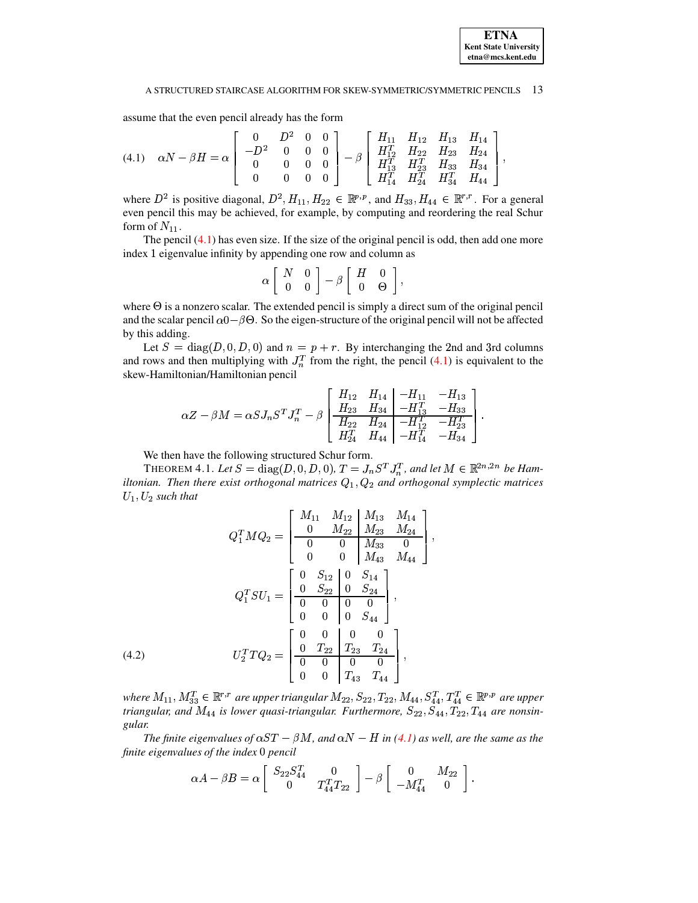

assume that the even pencil already has the form

<span id="page-12-0"></span>
$$
(4.1) \quad \alpha N - \beta H = \alpha \left[ \begin{array}{cccc} 0 & D^2 & 0 & 0 \\ -D^2 & 0 & 0 & 0 \\ 0 & 0 & 0 & 0 \\ 0 & 0 & 0 & 0 \end{array} \right] - \beta \left[ \begin{array}{cccc} H_{11} & H_{12} & H_{13} & H_{14} \\ H_{12}^T & H_{22} & H_{23} & H_{24} \\ H_{13}^T & H_{23}^T & H_{33} & H_{34} \\ H_{14}^T & H_{24}^T & H_{34}^T & H_{44} \end{array} \right],
$$

where  $D^2$  is positive diagonal,  $D^2, H_{11}, H_{22} \in \mathbb{R}^{p,p}$ , and  $H_{33}, H_{44} \in \mathbb{R}^{r,r}$ . For a general even pencil this may be achieved, for example, by computing and reordering the real Schur form of  $N_{11}$ .

The pencil [\(4.1\)](#page-12-0) has even size. If the size of the original pencil is odd, then add one more index 1 eigenvalue infinity by appending one row and column as

$$
\alpha \left[\begin{array}{cc} N & 0 \\ 0 & 0 \end{array}\right] - \beta \left[\begin{array}{cc} H & 0 \\ 0 & \Theta \end{array}\right],
$$

where  $\Theta$  is a nonzero scalar. The extended pencil is simply a direct sum of the original pencil and the scalar pencil  $\alpha$ 0 –  $\beta$ O. So the eigen-structure of the original pencil will not be affected by this adding.

Let  $S = diag(D, 0, D, 0)$  and  $n = p + r$ . By interchanging the 2nd and 3rd columns and rows and then multiplying with  $J_n^T$  from the right, the pencil [\(4.1\)](#page-12-0) is equivalent to the skew-Hamiltonian/Hamiltonian pencil

$$
\alpha Z-\beta M=\alpha SJ_nS^TJ_n^T-\beta \left[\begin{array}{cc|c}H_{12}&H_{14}&-H_{11}&-H_{13}\\H_{23}&H_{34}&-H_{13}^T&-H_{33}\\\hline H_{22}&H_{24}&-H_{12}^T&-H_{23}^T\\H_{24}^T&H_{44}&-H_{14}^T&-H_{34} \end{array}\right].
$$

We then have the following structured Schur form.

THEOREM 4.1. Let  $S = \text{diag}(D, 0, D, 0)$ ,  $T = J_n S^T J_n^T$ , and let  $M \in \mathbb{R}^{2n,2n}$  be Ham*iltonian. Then there exist orthogonal matrices and orthogonal symplectic matrices*  $U_1, U_2$  such that

<span id="page-12-1"></span>
$$
Q_1^T M Q_2 = \begin{bmatrix} M_{11} & M_{12} & M_{13} & M_{14} \\ 0 & M_{22} & M_{23} & M_{24} \\ 0 & 0 & M_{33} & 0 \\ 0 & 0 & M_{43} & M_{44} \end{bmatrix},
$$
  
\n
$$
Q_1^T SU_1 = \begin{bmatrix} 0 & S_{12} & 0 & S_{14} \\ 0 & S_{22} & 0 & S_{24} \\ 0 & 0 & 0 & 0 \\ 0 & 0 & 0 & S_{44} \end{bmatrix},
$$
  
\n
$$
U_2^T T Q_2 = \begin{bmatrix} 0 & 0 & 0 & 0 & 0 \\ 0 & T_{22} & T_{23} & T_{24} \\ 0 & 0 & 0 & T_{43} & T_{44} \end{bmatrix},
$$

where  $M_{11}$ ,  $M_{33}^T \in \mathbb{R}^{r,r}$  are upper triangular  $M_{22}$ ,  $S_{22}$ ,  $T_{22}$ ,  $M_{44}$ ,  $S_{44}^T$ ,  $T_{44}^T \in \mathbb{R}^{p,p}$  are upper *triangular, and*  $M_{44}$  *is lower quasi-triangular. Furthermore,*  $S_{22}, S_{44}, T_{22}, T_{44}$  *are nonsingular.*

*The finite eigenvalues of*  $\alpha ST - \beta M$ , and  $\alpha N - H$  *in* [\(4.1\)](#page-12-0) as well, are the same as the *finite eigenvalues of the index* <sup>c</sup> *pencil*

$$
\alpha A - \beta B = \alpha \left[ \begin{array}{cc} S_{22} S_{44}^T & 0 \\ 0 & T_{44}^TT_{22} \end{array} \right] - \beta \left[ \begin{array}{cc} 0 & M_{22} \\ -M_{44}^T & 0 \end{array} \right].
$$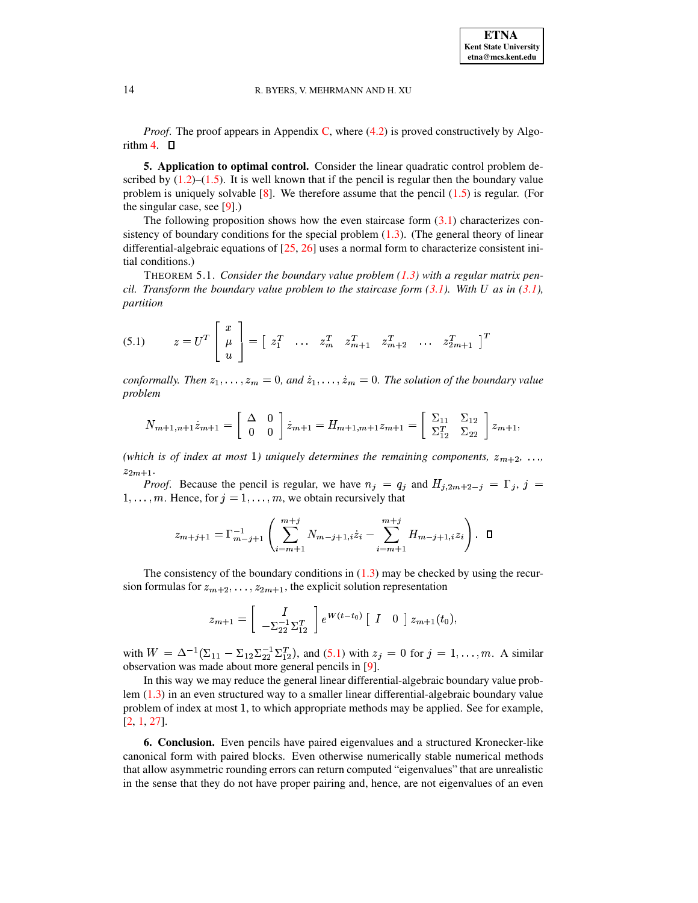<span id="page-13-0"></span>*Proof.* The proof appears in Appendix C, where  $(4.2)$  is proved constructively by Algorithm 4.  $\Box$ 

5. Application to optimal control. Consider the linear quadratic control problem described by  $(1.2)$ – $(1.5)$ . It is well known that if the pencil is regular then the boundary value problem is uniquely solvable [8]. We therefore assume that the pencil  $(1.5)$  is regular. (For the singular case, see  $[9]$ .)

The following proposition shows how the even staircase form  $(3.1)$  characterizes consistency of boundary conditions for the special problem  $(1.3)$ . (The general theory of linear differential-algebraic equations of  $[25, 26]$  uses a normal form to characterize consistent initial conditions.)

THEOREM 5.1. Consider the boundary value problem  $(1.3)$  with a regular matrix pencil. Transform the boundary value problem to the staircase form  $(3.1)$ . With U as in  $(3.1)$ , partition

<span id="page-13-1"></span>(5.1) 
$$
z = U^T \begin{bmatrix} x \\ \mu \\ u \end{bmatrix} = \begin{bmatrix} z_1^T & \dots & z_m^T & z_{m+1}^T & z_{m+2}^T & \dots & z_{2m+1}^T \end{bmatrix}^T
$$

conformally. Then  $z_1, \ldots, z_m = 0$ , and  $\dot{z}_1, \ldots, \dot{z}_m = 0$ . The solution of the boundary value problem

$$
N_{m+1,n+1}\dot{z}_{m+1} = \begin{bmatrix} \Delta & 0\\ 0 & 0 \end{bmatrix} \dot{z}_{m+1} = H_{m+1,m+1}z_{m+1} = \begin{bmatrix} \Sigma_{11} & \Sigma_{12} \\ \Sigma_{12}^T & \Sigma_{22} \end{bmatrix} z_{m+1},
$$

(which is of index at most 1) uniquely determines the remaining components,  $z_{m+2}$ , ...  $z_{2m+1}$ .

*Proof.* Because the pencil is regular, we have  $n_j = q_j$  and  $H_{j,2m+2-j} = \Gamma_j$ ,  $j =$  $1, \ldots, m$ . Hence, for  $j = 1, \ldots, m$ , we obtain recursively that

$$
z_{m+j+1} = \Gamma_{m-j+1}^{-1} \left( \sum_{i=m+1}^{m+j} N_{m-j+1,i} \dot{z}_i - \sum_{i=m+1}^{m+j} H_{m-j+1,i} z_i \right). \quad \Box
$$

The consistency of the boundary conditions in  $(1.3)$  may be checked by using the recursion formulas for  $z_{m+2}, \ldots, z_{2m+1}$ , the explicit solution representation

$$
z_{m+1} = \begin{bmatrix} I \\ -\Sigma_{22}^{-1} \Sigma_{12}^T \end{bmatrix} e^{W(t-t_0)} [I \ 0] z_{m+1}(t_0),
$$

with  $W = \Delta^{-1}(\Sigma_{11} - \Sigma_{12}\Sigma_{22}^{-1}\Sigma_{12}^{T})$ , and (5.1) with  $z_j = 0$  for  $j = 1, ..., m$ . A similar observation was made about more general pencils in [9].

In this way we may reduce the general linear differential-algebraic boundary value problem  $(1.3)$  in an even structured way to a smaller linear differential-algebraic boundary value problem of index at most 1, to which appropriate methods may be applied. See for example,  $[2, 1, 27]$ .

**6. Conclusion.** Even pencils have paired eigenvalues and a structured Kronecker-like canonical form with paired blocks. Even otherwise numerically stable numerical methods that allow asymmetric rounding errors can return computed "eigenvalues" that are unrealistic in the sense that they do not have proper pairing and, hence, are not eigenvalues of an even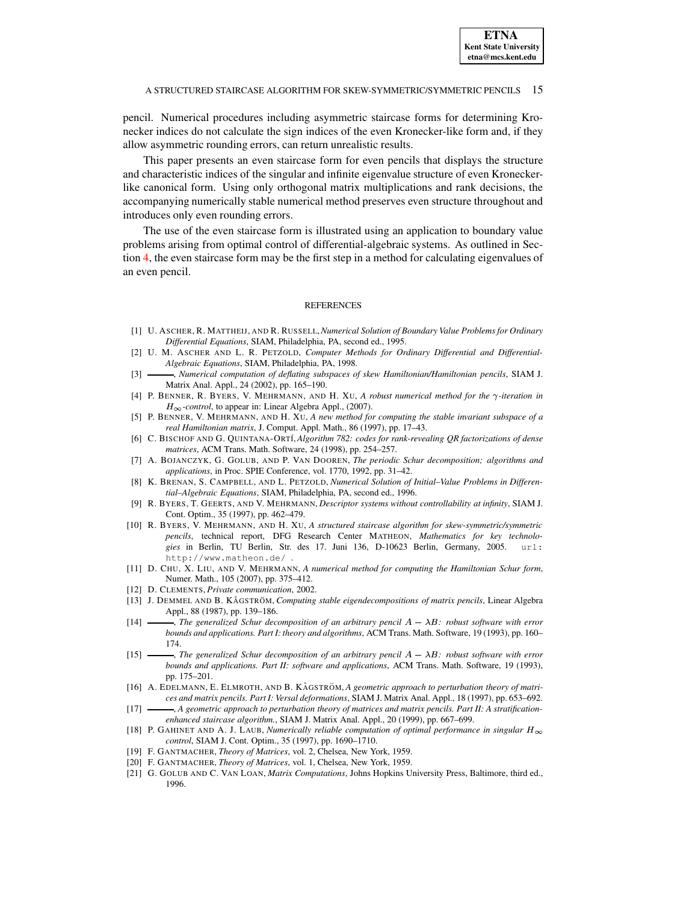pencil. Numerical procedures including asymmetric staircase forms for determining Kronecker indices do not calculate the sign indices of the even Kronecker-like form and, if they allow asymmetric rounding errors, can return unrealistic results.

This paper presents an even staircase form for even pencils that displays the structure and characteristic indices of the singular and infinite eigenvalue structure of even Kroneckerlike canonical form. Using only orthogonal matrix multiplications and rank decisions, the accompanying numerically stable numerical method preserves even structure throughout and introduces only even rounding errors.

The use of the even staircase form is illustrated using an application to boundary value problems arising from optimal control of differential-algebraic systems. As outlined in Section [4,](#page-11-0) the even staircase form may be the first step in a method for calculating eigenvalues of an even pencil.

### **REFERENCES**

- <span id="page-14-19"></span>[1] U. ASCHER, R. MATTHEIJ, AND R. RUSSELL,*Numerical Solution of Boundary Value Problems for Ordinary Differential Equations*, SIAM, Philadelphia, PA, second ed., 1995.
- <span id="page-14-18"></span>[2] U. M. ASCHER AND L. R. PETZOLD, *Computer Methods for Ordinary Differential and Differential-Algebraic Equations*, SIAM, Philadelphia, PA, 1998.
- <span id="page-14-15"></span>[3] , *Numerical computation of deflating subspaces of skew Hamiltonian/Hamiltonian pencils*, SIAM J. Matrix Anal. Appl., 24 (2002), pp. 165–190.
- <span id="page-14-0"></span>[4] P. BENNER, R. BYERS, V. MEHRMANN, AND H. XU, A robust numerical method for the  $\gamma$ -iteration in  $H_{\infty}$ -control, to appear in: Linear Algebra Appl., (2007).
- <span id="page-14-2"></span>[5] P. BENNER, V. MEHRMANN, AND H. XU, *A new method for computing the stable invariant subspace of a real Hamiltonian matrix*, J. Comput. Appl. Math., 86 (1997), pp. 17–43.
- <span id="page-14-14"></span>[6] C. BISCHOF AND G. QUINTANA-ORT´I,*Algorithm 782: codes for rank-revealing QR factorizations of dense matrices*, ACM Trans. Math. Software, 24 (1998), pp. 254–257.
- <span id="page-14-20"></span>[7] A. BOJANCZYK, G. GOLUB, AND P. VAN DOOREN, *The periodic Schur decomposition; algorithms and applications*, in Proc. SPIE Conference, vol. 1770, 1992, pp. 31–42.
- <span id="page-14-16"></span>[8] K. BRENAN, S. CAMPBELL, AND L. PETZOLD, *Numerical Solution of Initial–Value Problems in Differential–Algebraic Equations*, SIAM, Philadelphia, PA, second ed., 1996.
- <span id="page-14-17"></span>[9] R. BYERS, T. GEERTS, AND V. MEHRMANN, *Descriptor systems without controllability at infinity*, SIAM J. Cont. Optim., 35 (1997), pp. 462–479.
- <span id="page-14-4"></span>[10] R. BYERS, V. MEHRMANN, AND H. XU, *A structured staircase algorithm for skew-symmetric/symmetric pencils*, technical report, DFG Research Center MATHEON, *Mathematics for key technolo*gies in Berlin, TU Berlin, Str. des 17. Juni 136, D-10623 Berlin, Germany, 2005. http://www.matheon.de/ .
- <span id="page-14-3"></span>[11] D. CHU, X. LIU, AND V. MEHRMANN, *A numerical method for computing the Hamiltonian Schur form*, Numer. Math., 105 (2007), pp. 375–412.
- <span id="page-14-5"></span>[12] D. CLEMENTS, *Private communication*, 2002.
- <span id="page-14-9"></span><span id="page-14-8"></span>[13] J. DEMMEL AND B. KA˚ GSTRO¨ M, *Computing stable eigendecompositions of matrix pencils*, Linear Algebra Appl., 88 (1987), pp. 139–186.
- $[14]$   $\longrightarrow$ , *The generalized Schur decomposition of an arbitrary pencil*  $A \lambda B$ : *robust software with error bounds and applications. Part I: theory and algorithms*, ACM Trans. Math. Software, 19 (1993), pp. 160– 174.
- <span id="page-14-10"></span> $[15]$   $\longrightarrow$ , *The generalized Schur decomposition of an arbitrary pencil*  $A - \lambda B$ *: robust software with error bounds and applications. Part II: software and applications*, ACM Trans. Math. Software, 19 (1993), pp. 175–201.
- <span id="page-14-11"></span>[16] A. EDELMANN, E. ELMROTH, AND B. KA˚ GSTRO¨ M, *A geometric approach to perturbation theory of matrices and matrix pencils. Part I: Versal deformations*, SIAM J. Matrix Anal. Appl., 18 (1997), pp. 653–692.
- <span id="page-14-12"></span><span id="page-14-1"></span>[17] , *A geometric approach to perturbation theory of matrices and matrix pencils. Part II: A stratificationenhanced staircase algorithm.*, SIAM J. Matrix Anal. Appl., 20 (1999), pp. 667–699.
- [18] P. GAHINET AND A. J. LAUB, *Numerically reliable computation of optimal performance in singular*  $H_{\infty}$ *control*, SIAM J. Cont. Optim., 35 (1997), pp. 1690–1710.
- <span id="page-14-7"></span><span id="page-14-6"></span>[19] F. GANTMACHER, *Theory of Matrices*, vol. 2, Chelsea, New York, 1959.
- <span id="page-14-13"></span>[20] F. GANTMACHER, *Theory of Matrices*, vol. 1, Chelsea, New York, 1959.
- [21] G. GOLUB AND C. VAN LOAN, *Matrix Computations*, Johns Hopkins University Press, Baltimore, third ed., 1996.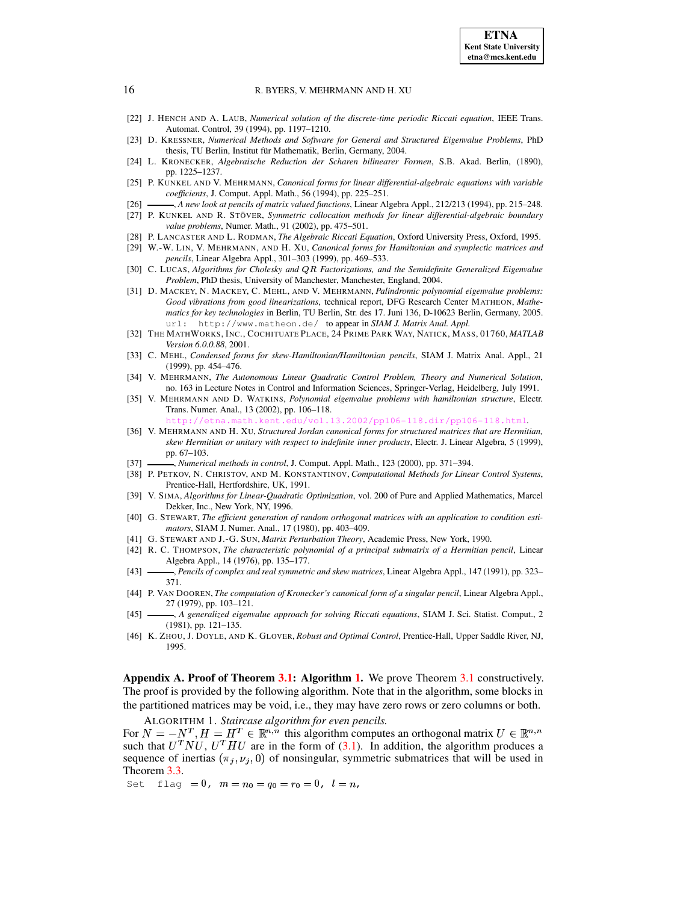- <span id="page-15-26"></span><span id="page-15-25"></span>[22] J. HENCH AND A. LAUB, *Numerical solution of the discrete-time periodic Riccati equation*, IEEE Trans. Automat. Control, 39 (1994), pp. 1197–1210.
- <span id="page-15-17"></span>[23] D. KRESSNER, *Numerical Methods and Software for General and Structured Eigenvalue Problems*, PhD thesis, TU Berlin, Institut für Mathematik, Berlin, Germany, 2004.
- [24] L. KRONECKER, *Algebraische Reduction der Scharen bilinearer Formen*, S.B. Akad. Berlin, (1890), pp. 1225–1237.
- <span id="page-15-22"></span>[25] P. KUNKEL AND V. MEHRMANN, *Canonical forms for linear differential-algebraic equations with variable coefficients*, J. Comput. Appl. Math., 56 (1994), pp. 225–251.
- <span id="page-15-24"></span><span id="page-15-23"></span>[26] , *A new look at pencils of matrix valued functions*, Linear Algebra Appl., 212/213 (1994), pp. 215–248.
- [27] P. KUNKEL AND R. STO¨ VER, *Symmetric collocation methods for linear differential-algebraic boundary value problems*, Numer. Math., 91 (2002), pp. 475–501.
- <span id="page-15-10"></span><span id="page-15-9"></span>[28] P. LANCASTER AND L. RODMAN, *The Algebraic Riccati Equation*, Oxford University Press, Oxford, 1995.
- <span id="page-15-16"></span>[29] W.-W. LIN, V. MEHRMANN, AND H. XU, *Canonical forms for Hamiltonian and symplectic matrices and pencils*, Linear Algebra Appl., 301–303 (1999), pp. 469–533.
- [30] C. LUCAS, *Algorithms for Cholesky and* ¥8¦ *Factorizations, and the Semidefinite Generalized Eigenvalue Problem*, PhD thesis, University of Manchester, Manchester, England, 2004.
- <span id="page-15-0"></span>[31] D. MACKEY, N. MACKEY, C. MEHL, AND V. MEHRMANN, *Palindromic polynomial eigenvalue problems: Good vibrations from good linearizations*, technical report, DFG Research Center MATHEON, *Mathematics for key technologies* in Berlin, TU Berlin, Str. des 17. Juni 136, D-10623 Berlin, Germany, 2005. url: http://www.matheon.de/ to appear in *SIAM J. Matrix Anal. Appl.*
- <span id="page-15-13"></span>[32] THE MATHWORKS, INC., COCHITUATE PLACE, 24 PRIME PARK WAY, NATICK, MASS, 01760, *MATLAB Version 6.0.0.88*, 2001.
- <span id="page-15-8"></span>[33] C. MEHL, *Condensed forms for skew-Hamiltonian/Hamiltonian pencils*, SIAM J. Matrix Anal. Appl., 21 (1999), pp. 454–476.
- <span id="page-15-1"></span>[34] V. MEHRMANN, *The Autonomous Linear Quadratic Control Problem, Theory and Numerical Solution*, no. 163 in Lecture Notes in Control and Information Sciences, Springer-Verlag, Heidelberg, July 1991.
- <span id="page-15-7"></span>[35] V. MEHRMANN AND D. WATKINS, *Polynomial eigenvalue problems with hamiltonian structure*, Electr. Trans. Numer. Anal., 13 (2002), pp. 106–118.

<http://etna.math.kent.edu/vol.13.2002/pp106-118.dir/pp106-118.html>.

- <span id="page-15-14"></span>[36] V. MEHRMANN AND H. XU, *Structured Jordan canonical forms for structured matrices that are Hermitian, skew Hermitian or unitary with respect to indefinite inner products*, Electr. J. Linear Algebra, 5 (1999), pp. 67–103.
- <span id="page-15-5"></span><span id="page-15-2"></span>[37] , *Numerical methods in control*, J. Comput. Appl. Math., 123 (2000), pp. 371–394.
- [38] P. PETKOV, N. CHRISTOV, AND M. KONSTANTINOV, *Computational Methods for Linear Control Systems*, Prentice-Hall, Hertfordshire, UK, 1991.
- <span id="page-15-3"></span>[39] V. SIMA, *Algorithms for Linear-Quadratic Optimization*, vol. 200 of Pure and Applied Mathematics, Marcel Dekker, Inc., New York, NY, 1996.
- <span id="page-15-12"></span>[40] G. STEWART, *The efficient generation of random orthogonal matrices with an application to condition estimators*, SIAM J. Numer. Anal., 17 (1980), pp. 403–409.
- <span id="page-15-18"></span><span id="page-15-15"></span>[41] G. STEWART AND J.-G. SUN, *Matrix Perturbation Theory*, Academic Press, New York, 1990.
- [42] R. C. THOMPSON, *The characteristic polynomial of a principal submatrix of a Hermitian pencil*, Linear Algebra Appl., 14 (1976), pp. 135–177.
- <span id="page-15-11"></span>[43] , *Pencils of complex and real symmetric and skew matrices*, Linear Algebra Appl., 147 (1991), pp. 323– 371.
- <span id="page-15-19"></span>[44] P. VAN DOOREN, *The computation of Kronecker's canonical form of a singular pencil*, Linear Algebra Appl., 27 (1979), pp. 103–121.
- <span id="page-15-4"></span>[45] , *A generalized eigenvalue approach for solving Riccati equations*, SIAM J. Sci. Statist. Comput., 2 (1981), pp. 121–135.
- <span id="page-15-21"></span><span id="page-15-6"></span>[46] K. ZHOU, J. DOYLE, AND K. GLOVER, *Robust and Optimal Control*, Prentice-Hall, Upper Saddle River, NJ, 1995.

**Appendix A. Proof of Theorem [3.1:](#page-8-0) Algorithm [1.](#page-15-20)** We prove Theorem [3.1](#page-8-0) constructively. The proof is provided by the following algorithm. Note that in the algorithm, some blocks in the partitioned matrices may be void, i.e., they may have zero rows or zero columns or both.

ALGORITHM 1. *Staircase algorithm for even pencils.*

<span id="page-15-20"></span>For  $N = -N^T, H = H^T \in \mathbb{R}^{n,n}$  this algorithm computes an orthogonal matrix  $U \in \mathbb{R}^{n,n}$ such that  $U^TNU$ ,  $U^THU$  are in the form of [\(3.1\)](#page-8-1). In addition, the algorithm produces a sequence of inertias  $(\pi_j, \nu_j, 0)$  of nonsingular, symmetric submatrices that will be used in Theorem [3.3.](#page-10-0)

Set flag  $= 0$ ,  $m = n_0 = q_0 = r_0 = 0$ ,  $l = n$ ,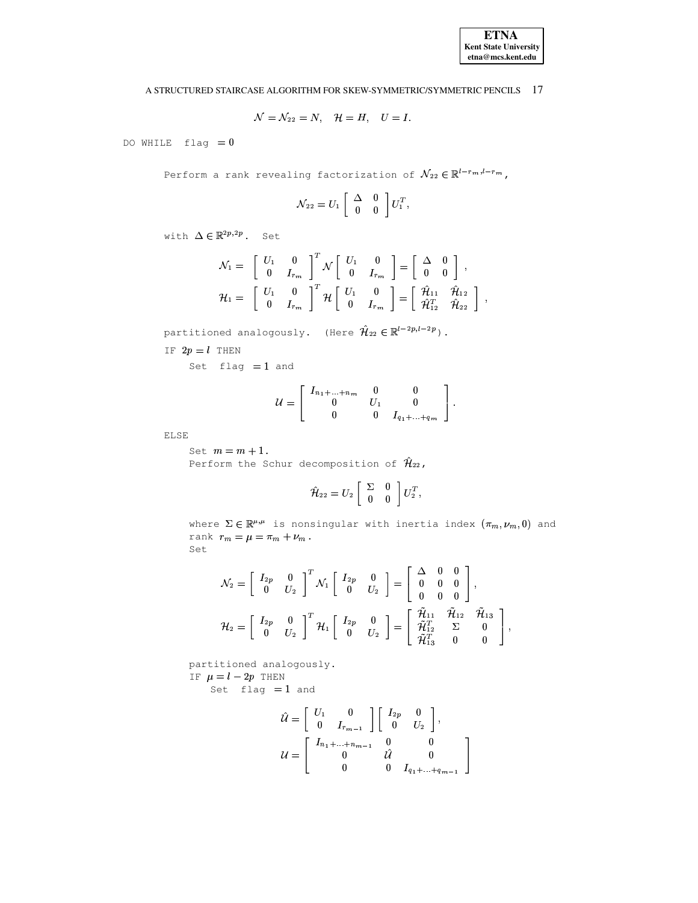

$$
\mathcal{N}=\mathcal{N}_{22}=N,\quad \mathcal{H}=H,\quad U=I.
$$

DO WHILE  $flag = 0$ 

Perform a rank revealing factorization of  $\mathcal{N}_{22} \in \mathbb{R}^{l-r_m, l-r_m}$ ,

$$
\mathcal{N}_{22}=U_1\left[\begin{array}{cc} \Delta & 0 \\ 0 & 0 \end{array}\right]U_1^T,
$$

with  $\Delta \in \mathbb{R}^{2p,2p}$ . Set

$$
\mathcal{N}_1 = \begin{bmatrix} U_1 & 0 \\ 0 & I_{r_m} \end{bmatrix}^T \mathcal{N} \begin{bmatrix} U_1 & 0 \\ 0 & I_{r_m} \end{bmatrix} = \begin{bmatrix} \Delta & 0 \\ 0 & 0 \end{bmatrix} ,
$$
  

$$
\mathcal{H}_1 = \begin{bmatrix} U_1 & 0 \\ 0 & I_{r_m} \end{bmatrix}^T \mathcal{H} \begin{bmatrix} U_1 & 0 \\ 0 & I_{r_m} \end{bmatrix} = \begin{bmatrix} \hat{\mathcal{H}}_{11} & \hat{\mathcal{H}}_{12} \\ \hat{\mathcal{H}}_{12}^T & \hat{\mathcal{H}}_{22} \end{bmatrix} ,
$$

partitioned analogously. (Here  $\hat{\mathcal{H}}_{22} \in \mathbb{R}^{l-2p,l-2p}$ ).

IF  $2p = l$  THEN

Set  $flag = 1$  and

$$
\mathcal{U} = \left[ \begin{array}{cccc} I_{n_1 + ... + n_m} & 0 & 0 \\ 0 & U_1 & 0 \\ 0 & 0 & I_{q_1 + ... + q_m} \end{array} \right].
$$

**ELSE** 

Set  $m = m + 1$ . Perform the Schur decomposition of  $\hat{\mathcal{H}}_{22}$ ,

$$
\hat{\mathcal{H}}_{22}=U_2\left[\begin{array}{cc} \Sigma & 0\\ 0 & 0 \end{array}\right]U_2^T,
$$

where  $\Sigma \in \mathbb{R}^{\mu,\mu}$  is nonsingular with inertia index  $(\pi_m,\nu_m,0)$  and rank  $r_m = \mu = \pi_m + \nu_m$ . Set

$$
\mathcal{N}_2 = \begin{bmatrix} I_{2p} & 0 \\ 0 & U_2 \end{bmatrix}^T \mathcal{N}_1 \begin{bmatrix} I_{2p} & 0 \\ 0 & U_2 \end{bmatrix} = \begin{bmatrix} \Delta & 0 & 0 \\ 0 & 0 & 0 \\ 0 & 0 & 0 \end{bmatrix},
$$
  

$$
\mathcal{H}_2 = \begin{bmatrix} I_{2p} & 0 \\ 0 & U_2 \end{bmatrix}^T \mathcal{H}_1 \begin{bmatrix} I_{2p} & 0 \\ 0 & U_2 \end{bmatrix} = \begin{bmatrix} \tilde{\mathcal{H}}_{11} & \tilde{\mathcal{H}}_{12} & \tilde{\mathcal{H}}_{13} \\ \tilde{\mathcal{H}}_{12}^T & \Sigma & 0 \\ \tilde{\mathcal{H}}_{13}^T & 0 & 0 \end{bmatrix},
$$

partitioned analogously. IF  $\mu = l - 2p$  THEN

Set flag  $=1$  and

$$
\hat{\mathcal{U}} = \begin{bmatrix} U_1 & 0 \\ 0 & I_{r_{m-1}} \end{bmatrix} \begin{bmatrix} I_{2p} & 0 \\ 0 & U_2 \end{bmatrix},
$$

$$
\mathcal{U} = \begin{bmatrix} I_{n_1 + \dots + n_{m-1}} & 0 & 0 \\ 0 & \hat{\mathcal{U}} & 0 \\ 0 & 0 & I_{q_1 + \dots + q_{m-1}} \end{bmatrix}.
$$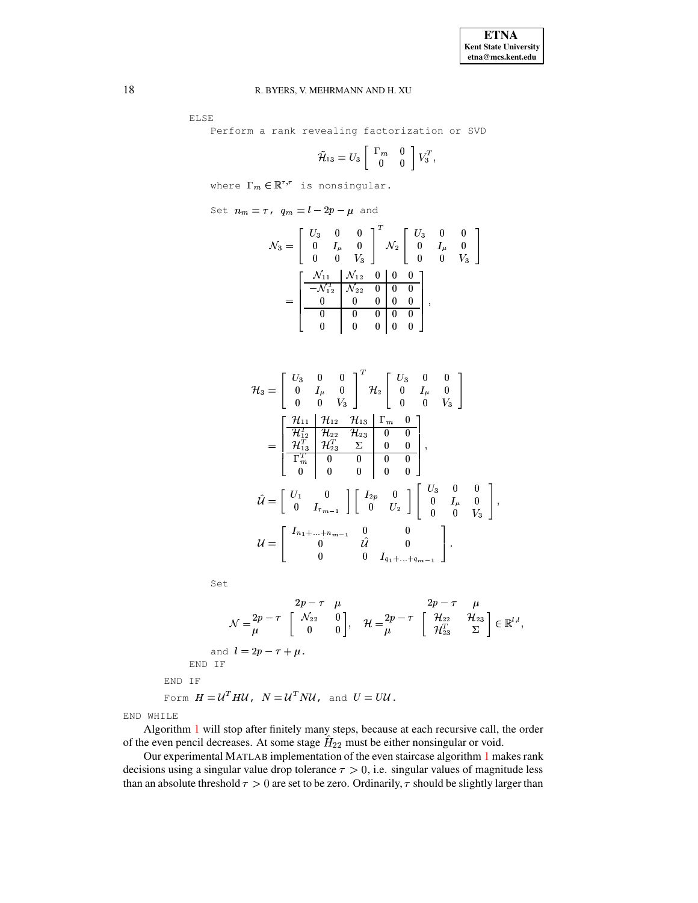ELSE

Perform a rank revealing factorization or SVD

$$
\tilde{\mathcal{H}}_{13} = U_3 \left[ \begin{array}{cc} \Gamma_m & 0 \\ 0 & 0 \end{array} \right] V_3^T,
$$

where  $\Gamma_m\in\mathbb{R}^{\tau,\tau}$  is nonsingular.

Set  $n_m = \tau$ ,  $q_m = l - 2p - \mu$  and

$$
\mathcal{N}_3 = \begin{bmatrix} U_3 & 0 & 0 \\ 0 & I_\mu & 0 \\ 0 & 0 & V_3 \end{bmatrix}^T \mathcal{N}_2 \begin{bmatrix} U_3 & 0 & 0 \\ 0 & I_\mu & 0 \\ 0 & 0 & V_3 \end{bmatrix}
$$

$$
= \begin{bmatrix} \frac{\mathcal{N}_{11}}{-\mathcal{N}_{12}^T} & \mathcal{N}_{22} & 0 & 0 & 0 \\ 0 & 0 & 0 & 0 & 0 \\ 0 & 0 & 0 & 0 & 0 \\ 0 & 0 & 0 & 0 & 0 \end{bmatrix},
$$

$$
\mathcal{H}_{3} = \begin{bmatrix} U_{3} & 0 & 0 \\ 0 & I_{\mu} & 0 \\ 0 & 0 & V_{3} \end{bmatrix}^{T} \mathcal{H}_{2} \begin{bmatrix} U_{3} & 0 & 0 \\ 0 & I_{\mu} & 0 \\ 0 & 0 & V_{3} \end{bmatrix}
$$

$$
= \begin{bmatrix} \frac{\mathcal{H}_{11}}{\mathcal{H}_{12}^{T}} & \frac{\mathcal{H}_{12}}{\mathcal{H}_{22}} & \frac{\mathcal{H}_{13}}{\mathcal{H}_{23}} & \Gamma_{m} & 0 \\ \frac{\mathcal{H}_{13}^{T}}{\Gamma_{m}^{T}} & \frac{\mathcal{H}_{23}^{T}}{\mathcal{H}_{23}} & \Sigma & 0 & 0 \\ 0 & 0 & 0 & 0 & 0 \end{bmatrix},
$$

$$
\hat{\mathcal{U}} = \begin{bmatrix} U_{1} & 0 & 0 & 0 & 0 \\ 0 & I_{r_{m-1}} & 0 & 0 & 0 \\ 0 & I_{r_{m-1}} & 0 & 0 & 0 \end{bmatrix} \begin{bmatrix} I_{2p} & 0 & 0 & 0 \\ 0 & I_{2p} & 0 & 0 \\ 0 & 0 & 0 & 0 \end{bmatrix},
$$

$$
\mathcal{U} = \begin{bmatrix} I_{n_{1} + \dots + n_{m-1}} & 0 & 0 & 0 \\ 0 & 0 & \hat{U} & 0 & 0 \\ 0 & 0 & 0 & I_{q_{1} + \dots + q_{m-1}} \end{bmatrix}.
$$

Set

$$
2p - \tau \mu \qquad 2p - \tau \mu
$$
  
\n
$$
\mathcal{N} = \frac{2p}{\mu} \begin{bmatrix} \mathcal{N}_{22} & 0 \\ 0 & 0 \end{bmatrix}, \quad \mathcal{H} = \frac{2p}{\mu} \begin{bmatrix} \mathcal{H}_{22} & \mathcal{H}_{23} \\ \mathcal{H}_{23}^T & \Sigma \end{bmatrix} \in \mathbb{R}^{l,l},
$$
  
\nand  $l = 2p - \tau + \mu$ .  
\nEND IF  
\nForm  $H = \mathcal{U}^T H \mathcal{U}, \quad \mathcal{N} = \mathcal{U}^T N \mathcal{U}, \quad \text{and } U = U \mathcal{U}.$ 

END WHILE

Algorithm [1](#page-15-20) will stop after finitely many steps, because at each recursive call, the order of the even pencil decreases. At some stage  $H_{22}$  must be either nonsingular or void.

Our experimental MATLAB implementation of the even staircase algorithm [1](#page-15-20) makes rank decisions using a singular value drop tolerance  $\tau > 0$ , i.e. singular values of magnitude less than an absolute threshold  $\tau > 0$  are set to be zero. Ordinarily,  $\tau$  should be slightly larger than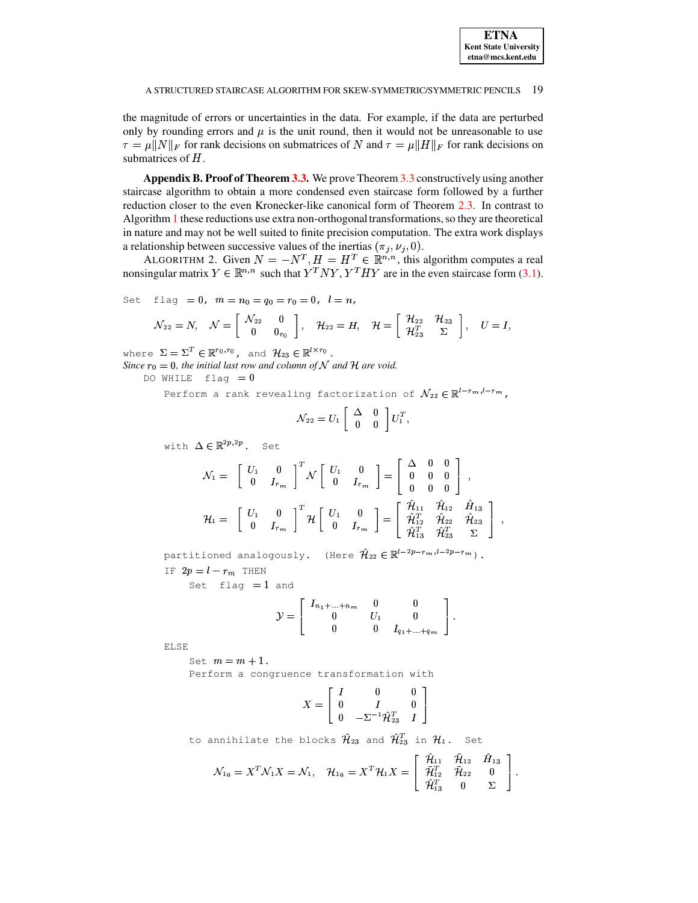the magnitude of errors or uncertainties in the data. For example, if the data are perturbed only by rounding errors and  $\mu$  is the unit round, then it would not be unreasonable to use  $\tau = \mu ||N||_F$  for rank decisions on submatrices of N and  $\tau = \mu ||H||_F$  for rank decisions on submatrices of  $H$ .

<span id="page-18-0"></span>**Appendix B. Proof of Theorem 3.3.** We prove Theorem 3.3 constructively using another staircase algorithm to obtain a more condensed even staircase form followed by a further reduction closer to the even Kronecker-like canonical form of Theorem 2.3. In contrast to Algorithm 1 these reductions use extra non-orthogonal transformations, so they are theoretical in nature and may not be well suited to finite precision computation. The extra work displays a relationship between successive values of the inertias ( $\pi_i$ ,  $\nu_i$ , 0).

ALGORITHM 2. Given  $N = -N^T$ ,  $H = H^T \in \mathbb{R}^{n,n}$ , this algorithm computes a real nonsingular matrix  $Y \in \mathbb{R}^{n,n}$  such that  $Y^T N Y, Y^T H Y$  are in the even staircase form (3.1).

Set flag = 0,  $m = n_0 = q_0 = r_0 = 0$ ,  $l = n$ ,

$$
\mathcal{N}_{22}=N, \quad \mathcal{N}=\left[\begin{array}{cc} \mathcal{N}_{22} & 0 \\ 0 & 0_{r_0} \end{array}\right], \quad \mathcal{H}_{22}=H, \quad \mathcal{H}=\left[\begin{array}{cc} \mathcal{H}_{22} & \mathcal{H}_{23} \\ \mathcal{H}_{23}^T & \Sigma \end{array}\right], \quad U=I,
$$

where  $\Sigma = \Sigma^T \in \mathbb{R}^{r_0, r_0}$ , and  $\mathcal{H}_{23} \in \mathbb{R}^{l \times r_0}$ .

Since  $r_0 = 0$ , the initial last row and column of N and H are void.

DO WHILE  $flag = 0$ 

Perform a rank revealing factorization of  $\mathcal{N}_{22} \in \mathbb{R}^{l-r_m, l-r_m}$ ,

<span id="page-18-1"></span>
$$
\mathcal{N}_{22}=U_1\left[\begin{array}{cc} \Delta & 0 \\ 0 & 0 \end{array}\right]U_1^T,
$$

with  $\Delta \in \mathbb{R}^{2p,2p}$ . Set

$$
\mathcal{N}_1 = \begin{bmatrix} U_1 & 0 \\ 0 & I_{r_m} \end{bmatrix}^T \mathcal{N} \begin{bmatrix} U_1 & 0 \\ 0 & I_{r_m} \end{bmatrix} = \begin{bmatrix} \Delta & 0 & 0 \\ 0 & 0 & 0 \\ 0 & 0 & 0 \end{bmatrix} ,
$$
  

$$
\mathcal{H}_1 = \begin{bmatrix} U_1 & 0 \\ 0 & I_{r_m} \end{bmatrix}^T \mathcal{H} \begin{bmatrix} U_1 & 0 \\ 0 & I_{r_m} \end{bmatrix} = \begin{bmatrix} \hat{\mathcal{H}}_{11} & \hat{\mathcal{H}}_{12} & \hat{\mathcal{H}}_{13} \\ \hat{\mathcal{H}}_{12}^T & \hat{\mathcal{H}}_{22} & \hat{\mathcal{H}}_{23} \\ \hat{\mathcal{H}}_{13}^T & \hat{\mathcal{H}}_{23}^T & \Sigma \end{bmatrix} ,
$$

partitioned analogously. (Here  $\hat{\mathcal{H}}_{22} \in \mathbb{R}^{l-2p-r_m, l-2p-r_m}$ ).

IF  $2p = l - r_m$  THEN

Set  $flag = 1$  and

$$
\mathcal{Y} = \left[ \begin{array}{cccc} I_{n_1 + ... + n_m} & 0 & 0 \\ 0 & U_1 & 0 \\ 0 & 0 & I_{q_1 + ... + q_m} \end{array} \right].
$$

**ELSE** 

Set  $m = m + 1$ . Perform a congruence transformation with

$$
X = \begin{bmatrix} I & 0 & 0 \\ 0 & I & 0 \\ 0 & -\Sigma^{-1} \hat{\mathcal{H}}_{23}^T & I \end{bmatrix}
$$

to annihilate the blocks  $\hat{\mathcal{H}}_{23}$  and  $\hat{\mathcal{H}}_{23}^T$  in  $\mathcal{H}_1$ . Set

$$
\mathcal{N}_{1a}=X^T\mathcal{N}_1X=\mathcal{N}_1,\quad \mathcal{H}_{1a}=X^T\mathcal{H}_1X=\left[\begin{array}{ccc} \hat{\mathcal{H}}_{11} & \overline{\mathcal{H}}_{12} & \hat{H}_{13} \\ \overline{\mathcal{H}}_{12}^T & \overline{\mathcal{H}}_{22} & 0 \\ \hat{\mathcal{H}}_{13}^T & 0 & \Sigma \end{array}\right].
$$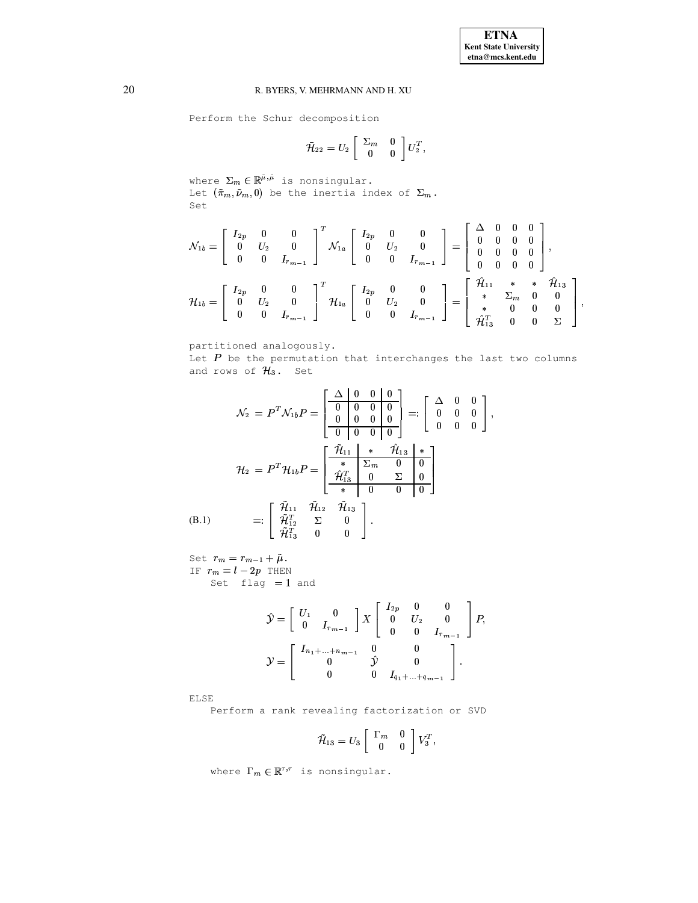$\bar{1}$ 

### R. BYERS, V. MEHRMANN AND H. XU

Perform the Schur decomposition

$$
\bar{\mathcal{H}}_{22}=U_2\left[\begin{array}{cc} \Sigma_m & 0 \\ 0 & 0 \end{array}\right]U_2^T,
$$

where  $\Sigma_m \in \mathbb{R}^{\tilde{\mu},\tilde{\mu}}$  is nonsingular.<br>Let  $(\tilde{\pi}_m, \tilde{\nu}_m, 0)$  be the inertia index of  $\Sigma_m$ . Set

$$
\mathcal{N}_{1b} = \begin{bmatrix} I_{2p} & 0 & 0 \\ 0 & U_2 & 0 \\ 0 & 0 & I_{r_{m-1}} \end{bmatrix}^T \mathcal{N}_{1a} \begin{bmatrix} I_{2p} & 0 & 0 \\ 0 & U_2 & 0 \\ 0 & 0 & I_{r_{m-1}} \end{bmatrix} = \begin{bmatrix} \Delta & 0 & 0 & 0 \\ 0 & 0 & 0 & 0 \\ 0 & 0 & 0 & 0 \\ 0 & 0 & 0 & 0 \end{bmatrix},
$$
  

$$
\mathcal{H}_{1b} = \begin{bmatrix} I_{2p} & 0 & 0 \\ 0 & U_2 & 0 \\ 0 & 0 & I_{r_{m-1}} \end{bmatrix}^T \mathcal{H}_{1a} \begin{bmatrix} I_{2p} & 0 & 0 \\ 0 & U_2 & 0 \\ 0 & 0 & I_{r_{m-1}} \end{bmatrix} = \begin{bmatrix} \hat{\mathcal{H}}_{11} & * & * & \hat{\mathcal{H}}_{13} \\ * & \Sigma_m & 0 & 0 \\ * & 0 & 0 & 0 \\ \hat{\mathcal{H}}_{13}^T & 0 & 0 & \Sigma \end{bmatrix},
$$

partitioned analogously.

Let  $P$  be the permutation that interchanges the last two columns and rows of  $H_3$ . Set

<span id="page-19-0"></span>
$$
\mathcal{N}_2 = P^T \mathcal{N}_{1b} P = \begin{bmatrix} \Delta & 0 & 0 & 0 \\ 0 & 0 & 0 & 0 \\ 0 & 0 & 0 & 0 \\ 0 & 0 & 0 & 0 \end{bmatrix} =: \begin{bmatrix} \Delta & 0 & 0 \\ 0 & 0 & 0 \\ 0 & 0 & 0 \end{bmatrix}
$$

$$
\mathcal{H}_2 = P^T \mathcal{H}_{1b} P = \begin{bmatrix} \frac{\tilde{\mathcal{H}}_{11}}{*} & * & \hat{\mathcal{H}}_{13} & * \\ * & \Sigma_m & 0 & 0 \\ \hat{\mathcal{H}}_{13}^T & 0 & \Sigma & 0 \\ * & 0 & 0 & 0 \end{bmatrix}
$$

$$
(B.1) =: \begin{bmatrix} \tilde{\mathcal{H}}_{11} & \tilde{\mathcal{H}}_{12} & \tilde{\mathcal{H}}_{13} \\ \tilde{\mathcal{H}}_{12}^T & \Sigma & 0 \\ \tilde{\mathcal{H}}_{13}^T & 0 & 0 \end{bmatrix}.
$$

Set  $r_m = r_{m-1} + \tilde{\mu}$ . IF  $r_m = l - 2p$  THEN Set  $flag = 1$  and

$$
\hat{\mathcal{Y}} = \begin{bmatrix} U_1 & 0 \\ 0 & I_{r_{m-1}} \end{bmatrix} X \begin{bmatrix} I_{2p} & 0 & 0 \\ 0 & U_2 & 0 \\ 0 & 0 & I_{r_{m-1}} \end{bmatrix} P,
$$

$$
\mathcal{Y} = \begin{bmatrix} I_{n_1 + \dots + n_{m-1}} & 0 & 0 \\ 0 & \hat{\mathcal{Y}} & 0 \\ 0 & 0 & I_{q_1 + \dots + q_{m-1}} \end{bmatrix}.
$$

**ELSE** 

Perform a rank revealing factorization or SVD

$$
\tilde{\mathcal{H}}_{13}=U_3\left[\begin{array}{cc} \Gamma_m & 0 \\ 0 & 0 \end{array}\right]V_3^T,
$$

where  $\Gamma_m\in\mathbb{R}^{\tau,\tau}$  is nonsingular.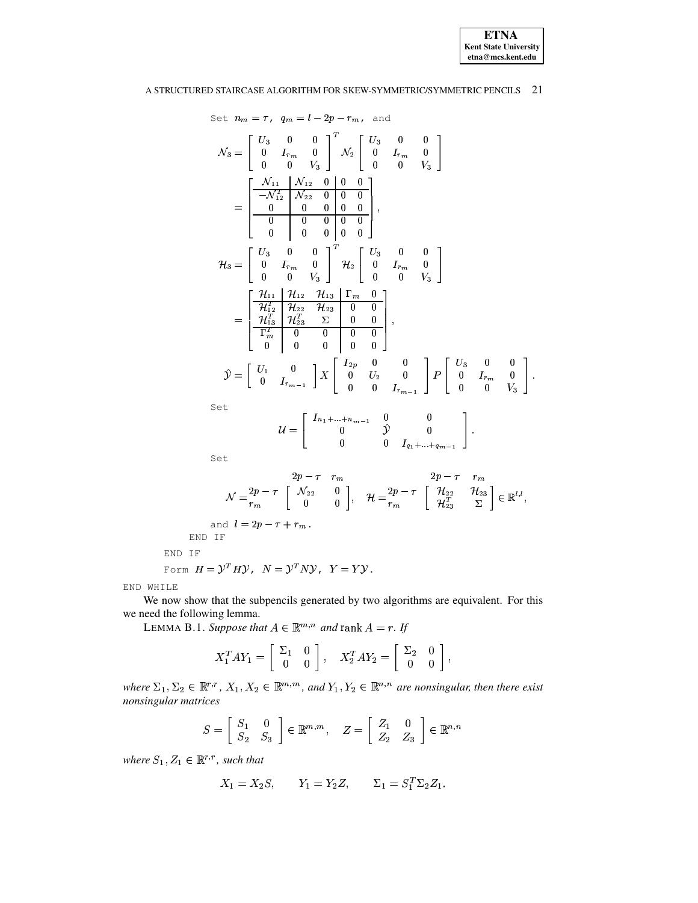

 $\vert \hspace{0.1cm} \cdot \hspace{0.1cm}$ 

# A STRUCTURED STAIRCASE ALGORITHM FOR SKEW-SYMMETRIC/SYMMETRIC PENCILS 21

Set 
$$
n_m = \tau
$$
,  $q_m = l - 2p - r_m$ , and  
\n
$$
\mathcal{N}_3 = \begin{bmatrix} U_3 & 0 & 0 \\ 0 & I_{r_m} & 0 \\ 0 & 0 & V_3 \end{bmatrix}^T \mathcal{N}_2 \begin{bmatrix} U_3 & 0 & 0 \\ 0 & I_{r_m} & 0 \\ 0 & 0 & V_3 \end{bmatrix}
$$
\n
$$
= \begin{bmatrix} \frac{\mathcal{N}_{11}}{-\mathcal{N}_{12}^T} \mathcal{N}_{22} & 0 & 0 & 0 \\ 0 & 0 & 0 & 0 & 0 \\ 0 & 0 & 0 & 0 & 0 \\ 0 & 0 & 0 & 0 & 0 \end{bmatrix}^T
$$
\n
$$
\mathcal{H}_3 = \begin{bmatrix} U_3 & 0 & 0 \\ 0 & I_{r_m} & 0 \\ 0 & 0 & V_3 \end{bmatrix}^T \mathcal{H}_2 \begin{bmatrix} U_3 & 0 & 0 \\ 0 & I_{r_m} & 0 \\ 0 & 0 & V_3 \end{bmatrix}
$$
\n
$$
= \begin{bmatrix} \frac{\mathcal{H}_{11}}{H_{12}^T} \frac{\mathcal{H}_{12}}{\mathcal{H}_{22}^T} \frac{\mathcal{H}_{13}}{\mathcal{H}_{23}^T} \frac{\Gamma_m}{\Gamma_m} \mathbf{0} \\ \frac{\mathcal{H}_{13}^T}{\Gamma_m^T} \frac{\mathcal{H}_{22}^T}{\mathcal{H}_{23}^T} \frac{\Sigma}{\Sigma} \mathbf{0} \mathbf{0} \\ 0 & 0 & 0 & 0 \end{bmatrix},
$$
\n
$$
\hat{\mathcal{Y}} = \begin{bmatrix} U_1 & 0 \\ 0 & I_{r_{m-1}} \end{bmatrix} \mathbf{X} \begin{bmatrix} I_{2p} & 0 & 0 \\ 0 & U_2 & 0 \\ 0 & 0 & I_{r_{m-1}} \end{bmatrix} \mathbf{P} \begin{bmatrix} U_3 & 0 & 0 \\ 0 & I_{r_m} & 0 \\ 0 & 0 & V_3 \end{bmatrix}
$$
\nSet\n
$$
\mathcal{U} = \begin{bmatrix} I_{n_1 + ... + n_{m-1}} & 0 & 0 \\ 0 & 0 & \hat{V}_3 & 0 \end{bmatrix}.
$$

$$
\mathcal{U} = \left[ \begin{array}{rrr} a_{1} + \dots + a_{m-1} & \hat{y} & 0 \\ 0 & \hat{y} & 0 \\ 0 & 0 & I_{q_1 + \dots + q_{m-1}} \end{array} \right].
$$

Set

$$
\mathcal{N} = \begin{matrix} 2p - \tau & r_m \\ r_m & 0 \end{matrix}, \quad \mathcal{H} = \begin{matrix} 2p - \tau & r_m \\ \mathcal{H}_{22} & \mathcal{H}_{23} \\ \mathcal{H}_{33}^T & \Sigma \end{matrix} \in \mathbb{R}^{l,l},
$$

and  $l=2p-\tau+r_m$ .

END IF

END IF

Form 
$$
H = \mathcal{Y}^T H \mathcal{Y}
$$
,  $N = \mathcal{Y}^T N \mathcal{Y}$ ,  $Y = Y \mathcal{Y}$ .

END WHILE

<span id="page-20-0"></span>We now show that the subpencils generated by two algorithms are equivalent. For this we need the following lemma.

LEMMA B.1. Suppose that  $A \in \mathbb{R}^{m,n}$  and rank  $A = r$ . If

$$
X_1^T A Y_1 = \begin{bmatrix} \Sigma_1 & 0 \\ 0 & 0 \end{bmatrix}, \quad X_2^T A Y_2 = \begin{bmatrix} \Sigma_2 & 0 \\ 0 & 0 \end{bmatrix},
$$

where  $\Sigma_1, \Sigma_2 \in \mathbb{R}^{r,r}$ ,  $X_1, X_2 \in \mathbb{R}^{m,m}$ , and  $Y_1, Y_2 \in \mathbb{R}^{n,n}$  are nonsingular, then there exist nonsingular matrices

$$
S = \left[ \begin{array}{cc} S_1 & 0 \\ S_2 & S_3 \end{array} \right] \in \mathbb{R}^{m,m}, \quad Z = \left[ \begin{array}{cc} Z_1 & 0 \\ Z_2 & Z_3 \end{array} \right] \in \mathbb{R}^{n,n}
$$

where  $S_1, Z_1 \in \mathbb{R}^{r,r}$ , such that

$$
X_1 = X_2S
$$
,  $Y_1 = Y_2Z$ ,  $\Sigma_1 = S_1^T\Sigma_2Z_1$ .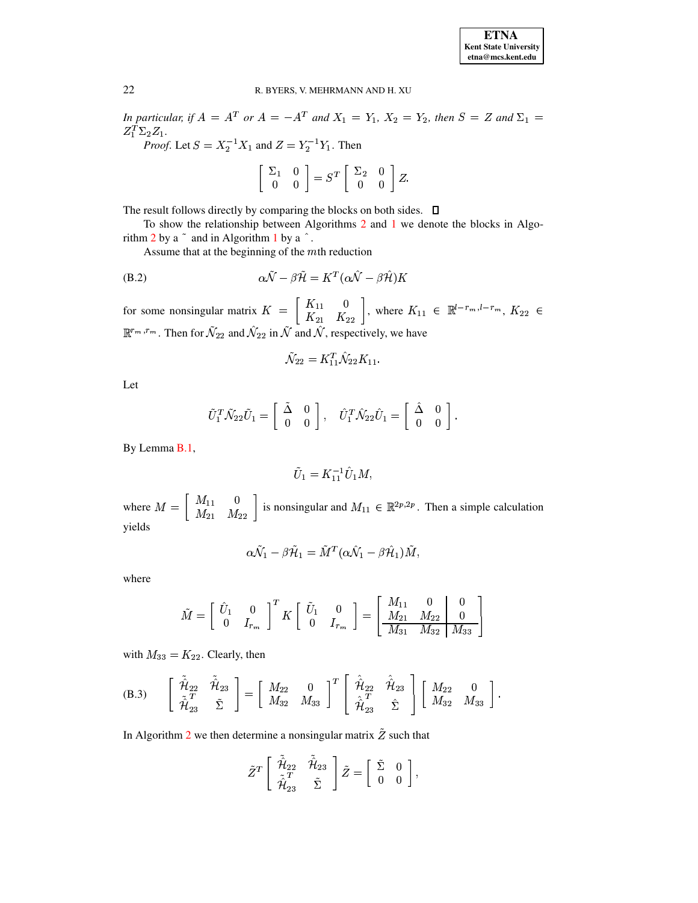In particular, if  $A = A^T$  or  $A = -A^T$  and  $X_1 = Y_1$ ,  $X_2 = Y_2$ , then  $S = Z$  and  $\Sigma_1 =$  $Z_1^T \Sigma_2 Z_1.$ *Proof.* Let  $S = X_2^{-1} X_1$  and  $Z = Y_2^{-1} Y_1$ . Then

$$
\left[\begin{array}{cc} \Sigma_1 & 0 \\ 0 & 0 \end{array}\right] = S^T \left[\begin{array}{cc} \Sigma_2 & 0 \\ 0 & 0 \end{array}\right] Z.
$$

The result follows directly by comparing the blocks on both sides.  $\Box$ 

To show the relationship between Algorithms 2 and 1 we denote the blocks in Algorithm  $2$  by a  $\degree$  and in Algorithm 1 by a  $\degree$ .

<span id="page-21-1"></span>Assume that at the beginning of the  $m$ th reduction

(B.2) 
$$
\alpha \tilde{\mathcal{N}} - \beta \tilde{\mathcal{H}} = K^T (\alpha \hat{\mathcal{N}} - \beta \hat{\mathcal{H}}) K
$$

for some nonsingular matrix  $K = \begin{bmatrix} K_{11} & 0 \\ K_{21} & K_{22} \end{bmatrix}$ , where  $K_{11} \in \mathbb{R}^{l-r_m, l-r_m}, K_{22} \in \mathbb{R}^{r_m, r_m}$ . Then for  $\tilde{\mathcal{N}}_{22}$  and  $\hat{\mathcal{N}}_{22}$  in  $\tilde{\mathcal{N}}$  and  $\hat{\mathcal{N}}$ , respectively, we have

$$
\tilde{\mathcal{N}}_{22} = K_{11}^T \hat{\mathcal{N}}_{22} K_{11}.
$$

Let

$$
\tilde{U}_1^T \tilde{\mathcal{N}}_{22} \tilde{U}_1 = \begin{bmatrix} \tilde{\Delta} & 0 \\ 0 & 0 \end{bmatrix}, \quad \tilde{U}_1^T \tilde{\mathcal{N}}_{22} \tilde{U}_1 = \begin{bmatrix} \tilde{\Delta} & 0 \\ 0 & 0 \end{bmatrix}.
$$

By Lemma B.1,

$$
\tilde{U}_1 = K_{11}^{-1} \hat{U}_1 M,
$$

where  $M = \begin{bmatrix} M_{11} & 0 \\ M_{21} & M_{22} \end{bmatrix}$  is nonsingular and  $M_{11} \in \mathbb{R}^{2p,2p}$ . Then a simple calculation vields

$$
\alpha \tilde{\mathcal{N}}_1 - \beta \tilde{\mathcal{H}}_1 = \tilde{M}^T (\alpha \hat{\mathcal{N}}_1 - \beta \hat{\mathcal{H}}_1) \tilde{M},
$$

where

$$
\tilde{M} = \left[ \begin{array}{cc} \hat{U}_1 & 0 \\ 0 & I_{r_m} \end{array} \right]^T K \left[ \begin{array}{cc} \tilde{U}_1 & 0 \\ 0 & I_{r_m} \end{array} \right] = \left[ \begin{array}{cc} M_{11} & 0 & 0 \\ M_{21} & M_{22} & 0 \\ \hline M_{31} & M_{32} & M_{33} \end{array} \right]
$$

with  $M_{33} = K_{22}$ . Clearly, then

<span id="page-21-0"></span>(B.3) 
$$
\begin{bmatrix} \tilde{\hat{\mathcal{H}}}_{22} & \tilde{\hat{\mathcal{H}}}_{23} \\ \tilde{\hat{\mathcal{H}}}_{23}^T & \tilde{\Sigma} \end{bmatrix} = \begin{bmatrix} M_{22} & 0 \\ M_{32} & M_{33} \end{bmatrix}^T \begin{bmatrix} \hat{\hat{\mathcal{H}}}_{22} & \hat{\hat{\mathcal{H}}}_{23} \\ \hat{\hat{\mathcal{H}}}_{23}^T & \hat{\Sigma} \end{bmatrix} \begin{bmatrix} M_{22} & 0 \\ M_{32} & M_{33} \end{bmatrix}.
$$

In Algorithm 2 we then determine a nonsingular matrix  $\tilde{Z}$  such that

$$
\tilde{Z}^T\left[\begin{array}{cc} \tilde{\hat{\mathcal{H}}}_{22} & \tilde{\hat{\mathcal{H}}}_{23} \\ \tilde{\hat{\mathcal{H}}}_{23}^T & \tilde{\Sigma} \end{array}\right]\tilde{Z} = \left[\begin{array}{cc} \tilde{\Sigma} & 0 \\ 0 & 0 \end{array}\right],
$$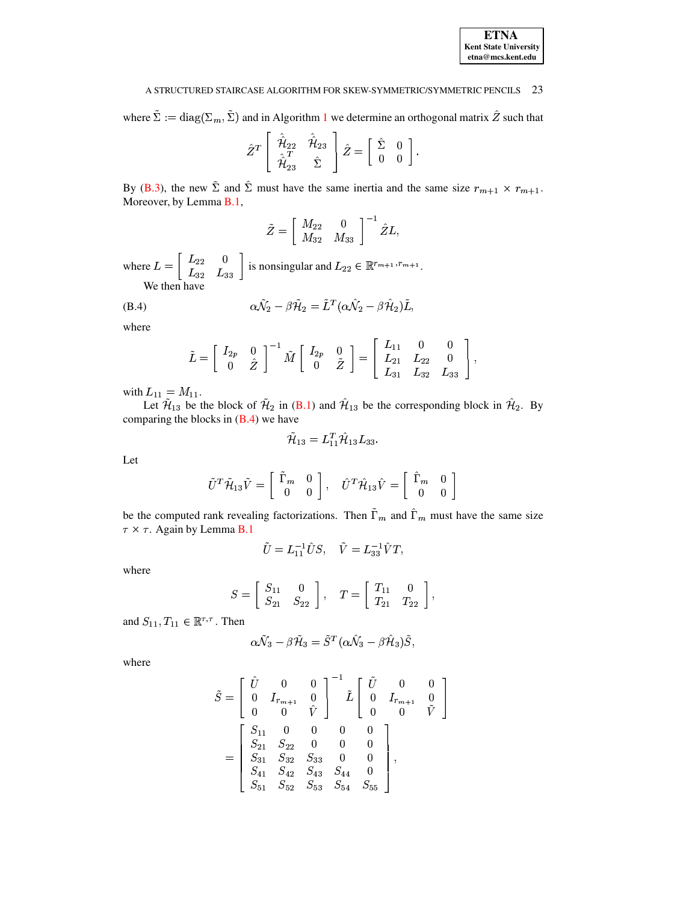where  $\Sigma := diag(\Sigma_m, \Sigma)$  and in Algorithm [1](#page-15-20) we determine an orthogonal matrix Z such that

$$
\hat{Z}^T \left[ \begin{array}{cc} \hat{\hat{\mathcal{H}}}_{22} & \hat{\hat{\mathcal{H}}}_{23} \\ \hat{\hat{\mathcal{H}}}_{23} & \hat{\Sigma} \end{array} \right] \hat{Z} = \left[ \begin{array}{cc} \hat{\Sigma} & 0 \\ 0 & 0 \end{array} \right].
$$

By [\(B.3\)](#page-21-0), the new  $\Sigma$  and  $\Sigma$  must have the same inertia and the same size  $r_{m+1} \times r_{m+1}$ . Moreover, by Lemma [B.1,](#page-20-0)

$$
\tilde{Z} = \left[ \begin{array}{cc} M_{22} & 0 \\ M_{32} & M_{33} \end{array} \right]^{-1} \hat{Z} L,
$$

where  $L = \begin{pmatrix} L_{22} & 0 \\ 0 & I \end{pmatrix}$  is not  $\begin{bmatrix} L_{22} & 0 \\ L_{33} & L_{33} \end{bmatrix}$  is nonsingular and  $L_{22} \in \mathbb{R}^{r_{m+1}, r_{m+1}}$ . We then have

 $\alpha N_2 - \beta H_2 = L^2 (\alpha N_2 - \beta H_2)L,$ (B.4)

where

<span id="page-22-0"></span>
$$
\tilde{L} = \left[ \begin{array}{cc} I_{2p} & 0 \\ 0 & \hat{Z} \end{array} \right]^{-1} \tilde{M} \left[ \begin{array}{cc} I_{2p} & 0 \\ 0 & \tilde{Z} \end{array} \right] = \left[ \begin{array}{ccc} L_{11} & 0 & 0 \\ L_{21} & L_{22} & 0 \\ L_{31} & L_{32} & L_{33} \end{array} \right],
$$

with  $L_{11} = M_{11}$ .

Let  $\mathcal{H}_{13}$  be the block of  $\mathcal{H}_2$  in [\(B.1\)](#page-19-0) and  $\mathcal{H}_{13}$  be the corresponding block in  $\mathcal{H}_2$ . By comparing the blocks in  $(B.4)$  we have

$$
\tilde{\mathcal{H}}_{13}=L_{11}^T\hat{\mathcal{H}}_{13}L_{33}.
$$

Let

$$
\tilde{U}^T \tilde{\mathcal{H}}_{13} \tilde{V} = \begin{bmatrix} \tilde{\Gamma}_m & 0 \\ 0 & 0 \end{bmatrix}, \quad \hat{U}^T \hat{\mathcal{H}}_{13} \hat{V} = \begin{bmatrix} \hat{\Gamma}_m & 0 \\ 0 & 0 \end{bmatrix}
$$

be the computed rank revealing factorizations. Then  $\tilde{\Gamma}_m$  and  $\hat{\Gamma}_m$  must have the same size  $\tau \times \tau$ . Again by Lemma **B**.1

$$
\tilde{U}=L_{11}^{-1}\hat{U}S,\quad \tilde{V}=L_{33}^{-1}\hat{V}T,
$$

where

$$
S = \left[ \begin{array}{cc} S_{11} & 0 \\ S_{21} & S_{22} \end{array} \right], \quad T = \left[ \begin{array}{cc} T_{11} & 0 \\ T_{21} & T_{22} \end{array} \right],
$$

and  $S_{11}, T_{11} \in \mathbb{R}^{\tau, \tau}$ . Then

$$
\alpha \tilde{\mathcal{N}}_3 - \beta \tilde{\mathcal{H}}_3 = \tilde{S}^T(\alpha \hat{\mathcal{N}}_3 - \beta \hat{\mathcal{H}}_3) \tilde{S},
$$

where

$$
\tilde{S} = \begin{bmatrix} \hat{U} & 0 & 0 \\ 0 & I_{r_{m+1}} & 0 \\ 0 & 0 & \hat{V} \end{bmatrix}^{-1} \tilde{L} \begin{bmatrix} \tilde{U} & 0 & 0 \\ 0 & I_{r_{m+1}} & 0 \\ 0 & 0 & \tilde{V} \end{bmatrix}
$$

$$
= \begin{bmatrix} S_{11} & 0 & 0 & 0 & 0 \\ S_{21} & S_{22} & 0 & 0 & 0 \\ S_{31} & S_{32} & S_{33} & 0 & 0 \\ S_{41} & S_{42} & S_{43} & S_{44} & 0 \\ S_{51} & S_{52} & S_{53} & S_{54} & S_{55} \end{bmatrix},
$$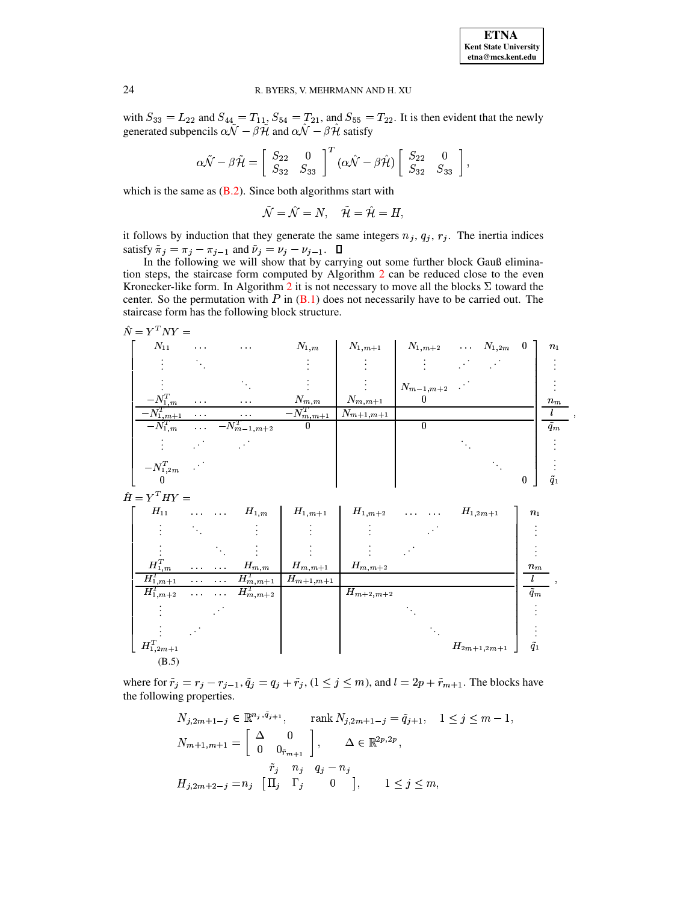with  $S_{33} = L_{22}$  and  $S_{44} = T_{11}$ ,  $S_{54} = T_{21}$ , and  $S_{55} = T_{22}$ . It is then evident that the newly generated subpencils  $\alpha \hat{N} - \beta \hat{H}$  and  $\alpha \hat{N} - \beta \hat{H}$  satisfy

$$
\alpha\tilde{\mathcal{N}}-\beta\tilde{\mathcal{H}}=\left[\begin{array}{cc} S_{22} & 0 \\ S_{32} & S_{33} \end{array}\right]^T(\alpha\hat{\mathcal{N}}-\beta\hat{\mathcal{H}})\left[\begin{array}{cc} S_{22} & 0 \\ S_{32} & S_{33} \end{array}\right],
$$

which is the same as  $(B.2)$ . Since both algorithms start with

$$
\tilde{\mathcal{N}}=\hat{\mathcal{N}}=N,\quad \tilde{\mathcal{H}}=\hat{\mathcal{H}}=H,
$$

it follows by induction that they generate the same integers  $n_j$ ,  $q_j$ ,  $r_j$ . The inertia indices satisfy  $\tilde{\pi}_j = \pi_j - \pi_{j-1}$  and  $\tilde{\nu}_j = \nu_j - \nu_{j-1}$ .  $\Box$ 

In the following we will show that by carrying out some further block Gauß elimination steps, the staircase form computed by Algorithm 2 can be reduced close to the even Kronecker-like form. In Algorithm 2 it is not necessary to move all the blocks  $\Sigma$  toward the center. So the permutation with  $P$  in  $(B.1)$  does not necessarily have to be carried out. The staircase form has the following block structure.

<span id="page-23-0"></span>
$$
\hat{N} = Y^T N Y =
$$

| $N_{11}$                   | $\sim 100$                                                  | $\alpha$ , $\alpha$ , $\alpha$ | $N_{1,m}$        | $N_{1,m+1}$   | $N_{1,m+2}$ $N_{1,2m}$ |  | $\bf{0}$ | $n_1$         |
|----------------------------|-------------------------------------------------------------|--------------------------------|------------------|---------------|------------------------|--|----------|---------------|
|                            |                                                             |                                |                  |               |                        |  |          |               |
|                            |                                                             |                                |                  |               | $N_{m-1,m+2}$          |  |          |               |
| $-N_{1,m}^T$               | $\mathcal{L}^{\mathcal{L}}$ and $\mathcal{L}^{\mathcal{L}}$ | $\sim$ $ \sim$                 | $N_{m,m}$        | $N_{m,m+1}$   | 0                      |  |          | $n_m$         |
| $-N_{1,m+1}^T$             | $\sim 100$                                                  | $\sim 100$                     | $-N_{m,m+1}^{T}$ | $N_{m+1,m+1}$ |                        |  |          |               |
| $-N_{1,m}^T$               | $\alpha$ , $\alpha$ , $\alpha$ , $\alpha$                   | $-N_{m-1,m+2}^{T}$             | $\boldsymbol{0}$ |               | 0                      |  |          | $\tilde{q}_m$ |
|                            |                                                             |                                |                  |               |                        |  |          |               |
| $-\boldsymbol{N^T_{1,2m}}$ | $\sim$ $\sim$                                               |                                |                  |               |                        |  |          |               |
| $\overline{\phantom{a}}$   |                                                             |                                |                  |               |                        |  |          |               |

 $\hat{H} = Y^T H Y =$ 

| $H_{11}$         | $\sim 10^{-1}$                 | $\sim 100$                     | $H_{1,m}$     | $H_{1,m+1}$   | $H_{1,m+2}$   | and the state of | $H_{1,2m+1}$    | $n_1$         |  |
|------------------|--------------------------------|--------------------------------|---------------|---------------|---------------|------------------|-----------------|---------------|--|
|                  |                                |                                |               |               |               |                  |                 |               |  |
|                  |                                |                                |               |               |               |                  |                 |               |  |
| $H_{1,m}^T$      | $\alpha$ , $\alpha$ , $\alpha$ | $\alpha$ , $\alpha$ , $\alpha$ | $H_{m,m}$     | $H_{m,m+1}$   | $H_{m,m+2}$   |                  |                 | $n_m$         |  |
| $H^T_{1,m+1}$    | $\sim 100$                     | $\alpha$ , $\alpha$ , $\alpha$ | $H^T_{m,m+1}$ | $H_{m+1,m+1}$ |               |                  |                 |               |  |
| $H^T_{1,m+2}$    | $\sim 100$                     | $\sim 100$                     | $H_{m,m+2}^T$ |               | $H_{m+2,m+2}$ |                  |                 | $\tilde{q}_m$ |  |
|                  |                                |                                |               |               |               |                  |                 |               |  |
|                  |                                |                                |               |               |               |                  |                 |               |  |
| $H_{1,2m+1}^{T}$ |                                |                                |               |               |               |                  | $H_{2m+1,2m+1}$ | $\tilde{q}_1$ |  |
| (B.5)            |                                |                                |               |               |               |                  |                 |               |  |

where for  $\tilde{r}_j = r_j - r_{j-1}, \tilde{q}_j = q_j + \tilde{r}_j, (1 \le j \le m)$ , and  $l = 2p + \tilde{r}_{m+1}$ . The blocks have the following properties.

$$
N_{j,2m+1-j} \in \mathbb{R}^{n_j, \bar{q}_{j+1}}, \quad \text{rank } N_{j,2m+1-j} = \tilde{q}_{j+1}, \quad 1 \le j \le m-1,
$$
  

$$
N_{m+1,m+1} = \begin{bmatrix} \Delta & 0 \\ 0 & 0_{\tilde{r}_{m+1}} \end{bmatrix}, \quad \Delta \in \mathbb{R}^{2p,2p},
$$
  

$$
\tilde{r}_j \quad n_j \quad q_j - n_j
$$
  

$$
H_{j,2m+2-j} = n_j \quad [\Pi_j \quad \Gamma_j \quad 0 \quad ], \quad 1 \le j \le m,
$$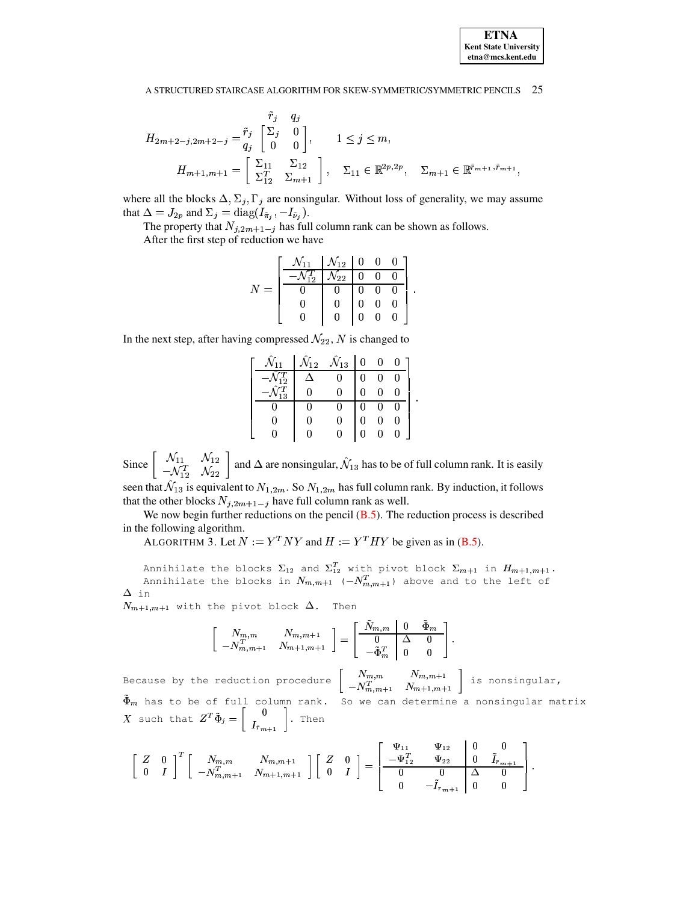$$
H_{2m+2-j,2m+2-j} = \begin{bmatrix} \tilde{r}_j & q_j \\ q_j & 0 \\ 0 & 0 \end{bmatrix}, \qquad 1 \le j \le m,
$$
  

$$
H_{m+1,m+1} = \begin{bmatrix} \Sigma_{11} & \Sigma_{12} \\ \Sigma_{12}^T & \Sigma_{m+1} \end{bmatrix}, \qquad \Sigma_{11} \in \mathbb{R}^{2p,2p}, \quad \Sigma_{m+1} \in \mathbb{R}^{\tilde{r}_{m+1}, \tilde{r}_{m+1}}
$$

where all the blocks  $\Delta, \Sigma_j, \Gamma_j$  are nonsingular. Without loss of generality, we may assume that  $\Delta = J_{2p}$  and  $\Sigma_j = \text{diag}(I_{\tilde{\pi}_j}, -I_{\tilde{\nu}_j}).$ 

The property that  $N_{j,2m+1-j}$  has full column rank can be shown as follows.

After the first step of reduction we have

| $\mathcal{N}_{11}$ | $\mathcal{N}_{12}$ | 0 | 0 | 0 |
|--------------------|--------------------|---|---|---|
|                    | $\overline{22}$    | O |   |   |
|                    |                    |   |   | 0 |
|                    |                    |   |   |   |
|                    |                    | N |   |   |

In the next step, after having compressed  $\mathcal{N}_{22}$ , N is changed to

| $\hat{\mathcal{N}}_{12}$ | $\hat{\mathcal{N}}_{13}$ |  |   |
|--------------------------|--------------------------|--|---|
|                          |                          |  | 0 |
|                          |                          |  |   |
|                          |                          |  | 0 |
|                          |                          |  |   |
|                          |                          |  |   |

Since  $\begin{bmatrix} \mathcal{N}_{11} & \mathcal{N}_{12} \\ -\mathcal{N}_{12}^T & \mathcal{N}_{22} \end{bmatrix}$  and  $\Delta$  are nonsingular,  $\hat{\mathcal{N}}_{13}$  has to be of full column rank. It is easily seen that  $\hat{\mathcal{N}}_{13}$  is equivalent to  $N_{1,2m}$ . So  $N_{1,2m}$  has full column rank. By induction, it follows

that the other blocks  $N_{j,2m+1-j}$  have full column rank as well. We now begin further reductions on the pencil  $(B.5)$ . The reduction process is described in the following algorithm.

ALGORITHM 3. Let  $N := Y^T N Y$  and  $H := Y^T H Y$  be given as in (B.5).

Annihilate the blocks  $\Sigma_{12}$  and  $\Sigma_{12}^T$  with pivot block  $\Sigma_{m+1}$  in  $H_{m+1,m+1}$ .<br>Annihilate the blocks in  $N_{m,m+1}$  ( $-N_{m,m+1}^T$ ) above and to the left of  $\Delta$  in

 $N_{m+1,m+1}$  with the pivot block  $\Delta$ . Then

$$
\begin{bmatrix}\nN_{m,m} & N_{m,m+1} \\
-N_{m,m+1}^T & N_{m+1,m+1}\n\end{bmatrix} = \begin{bmatrix}\n\tilde{N}_{m,m} & 0 & \tilde{\Phi}_m \\
0 & \Delta & 0 \\
-\tilde{\Phi}_m^T & 0 & 0\n\end{bmatrix}.
$$

Because by the reduction procedure  $\begin{bmatrix} N_{m,m} & N_{m,m+1} \\ -N_{m,m+1}^T & N_{m+1,m+1} \end{bmatrix}$  is nonsingular,<br>  $\tilde{\Phi}_m$  has to be of full column rank. So we can determine a nonsingular matrix <br>
X such that  $Z^T \tilde{\Phi}_j = \begin{bmatrix} 0 \\ I_{\$ 

$$
\left[\begin{array}{cc} Z & 0 \\ 0 & I \end{array}\right]^T \left[\begin{array}{ccc} N_{m,m} & N_{m,m+1} \\ -N_{m,m+1}^T & N_{m+1,m+1} \end{array}\right] \left[\begin{array}{cc} Z & 0 \\ 0 & I \end{array}\right] = \left[\begin{array}{ccc} \Psi_{11} & \Psi_{12} & 0 & 0 \\ -\Psi_{12}^T & \Psi_{22} & 0 & \tilde{I}_{r_{m+1}} \\ 0 & 0 & \Delta & 0 \\ 0 & -\tilde{I}_{r_{m+1}} & 0 & 0 \end{array}\right]
$$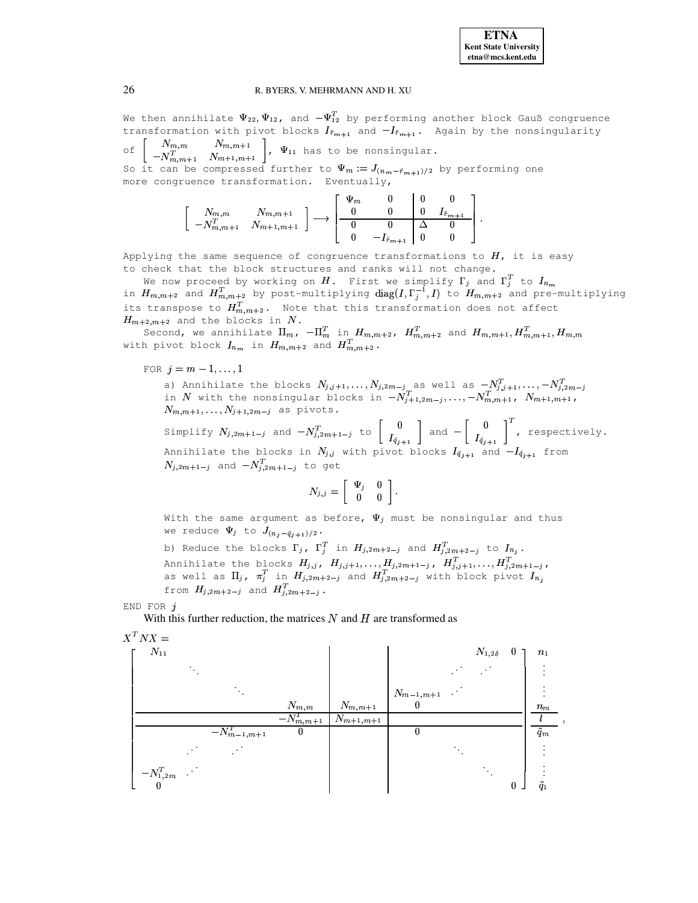

We then annihilate  $\Psi_{22}, \Psi_{12}$ , and  $-\Psi_{12}^T$  by performing another block Gauß congruence transformation with pivot blocks  $I_{\tilde{r}_{m+1}}$  and  $-I_{\tilde{r}_{m+1}}$ . Again by the nonsingularity

 $\begin{bmatrix} N_{m,m} & N_{m,m+1} \\ -N_{m,m+1}^T & N_{m+1,m+1} \end{bmatrix}$ ,  $\Psi_{11}$  has to be nonsingular.  $\circ f$ So it can be compressed further to  $\Psi_m := J_{(n_m - \tilde{r}_{m+1})/2}$  by performing one more congruence transformation. Eventually,

$$
\begin{bmatrix}\nN_{m,m} & N_{m,m+1} \\
-N_{m,m+1}^T & N_{m+1,m+1}\n\end{bmatrix}\n\longrightarrow\n\begin{bmatrix}\n\Psi_m & 0 & 0 & 0 \\
0 & 0 & 0 & I_{\tilde{r}_{m+1}} \\
0 & 0 & \Delta & 0 \\
0 & -I_{\tilde{r}_{m+1}} & 0 & 0\n\end{bmatrix}
$$

Applying the same sequence of congruence transformations to  $H$ , it is easy to check that the block structures and ranks will not change.

We now proceed by working on  $H$ . First we simplify  $\Gamma_j$  and  $\Gamma_j^T$  to  $I_{n_m}$ in  $H_{m,m+2}$  and  $H_{m,m+2}^T$  by post-multiplying diag( $I, \Gamma_j^{-1}, I$ ) to  $H_{m,m+2}$  and pre-multiplying<br>its transpose to  $H_{m,m+2}^T$ . Note that this transformation does not affect  $H_{m+2,m+2}$  and the blocks in N.

Second, we annihilate  $\Pi_{m}$ ,  $-\Pi_{m}^{T}$  in  $H_{m,m+2}$ ,  $H_{m,m+2}^{T}$  and  $H_{m,m+1}, H_{m,m+1}^{T}$ ,  $H_{m,m}$ with pivot block  $I_{n_m}$  in  $H_{m,m+2}$  and  $H_{m,m+2}^T$ .

FOR  $j = m - 1, ..., 1$ 

a) Annihilate the blocks  $N_{j,j+1},\ldots,N_{j,2m-j}$  as well as  $-N_{j,j+1}^T,\ldots,-N_{j,2m-j}^T$ <br>in  $N$  with the nonsingular blocks in  $-N_{j+1,2m-j}^T,\ldots,-N_{m,m+1}^T$ ,  $N_{m+1,m+1}$ ,  $N_{m,m+1},\ldots,N_{j+1,2m-j}$  as pivots.

Simplify  $N_{j,2m+1-j}$  and  $-N_{j,2m+1-j}^T$  to  $\begin{bmatrix} 0 \\ I_{\tilde{q}_{j+1}} \end{bmatrix}$  and  $-\begin{bmatrix} 0 \\ I_{\tilde{q}_{j+1}} \end{bmatrix}^T$ , respectively.<br>Annihilate the blocks in  $N_{j,j}$  with pivot blocks  $I_{\tilde{q}_{j+1}}$  and  $-I_{\tilde{q}_{j+1}}$  from  $N_{i,2m+1-j}$  and  $-N_{i,2m+1-j}^T$  to get

$$
N_{j,j} = \left[ \begin{array}{cc} \Psi_j & 0 \\ 0 & 0 \end{array} \right].
$$

With the same argument as before,  $\Psi_j$  must be nonsingular and thus we reduce  $\Psi_j$  to  $J_{(n_j - \tilde{q}_{j+1})/2}$ .

b) Reduce the blocks  $\Gamma_j$ ,  $\Gamma_j^T$  in  $H_{j,2m+2-j}$  and  $H_{j,2m+2-j}^T$  to  $I_{n_j}$ . Annihilate the blocks  $H_{j,j}$ ,  $H_{j,j+1}, \ldots, H_{j,2m+1-j}$ ,  $H_{j,j+1}^T, \ldots, H_{j,2m+1-j}^T$ , as well as  $\Pi_j$ ,  $\pi_j^T$  in  $H_{j,2m+2-j}$  and  $H_{j,2m+2-j}^T$  with block pivot  $I_{n_j}$ from  $H_{j,2m+2-j}$  and  $H_{j,2m+2-j}^T$ .

END FOR  $i$ 

With this further reduction, the matrices  $N$  and  $H$  are transformed as

<span id="page-25-0"></span> $X^T N X =$ 

| .<br>$\mathcal{N}_{11}$ |                    |                |                           |                 | $N_{1,2\delta}$ | $\boldsymbol{0}$ | n <sub>1</sub>           |
|-------------------------|--------------------|----------------|---------------------------|-----------------|-----------------|------------------|--------------------------|
|                         |                    |                |                           |                 |                 |                  |                          |
|                         |                    |                |                           | $N_{m-1,m+1}$ . |                 |                  |                          |
|                         |                    | $N_{m,m}$      | $N_{m,m+1}$               | $\theta$        |                 |                  | $n_m$                    |
|                         |                    | $-N_{m,m+1}^T$ | $N_{m+1,\underline{m+1}}$ |                 |                 |                  |                          |
|                         | $-N_{m-1,m+1}^{T}$ | 0              |                           | $\theta$        |                 |                  | $\overline{\tilde{q}_m}$ |
|                         |                    |                |                           |                 |                 |                  |                          |
| $-N_{1,2m}^T$ .         |                    |                |                           |                 |                 |                  |                          |
|                         |                    |                |                           |                 |                 | $\boldsymbol{0}$ | $\tilde{q}_1$            |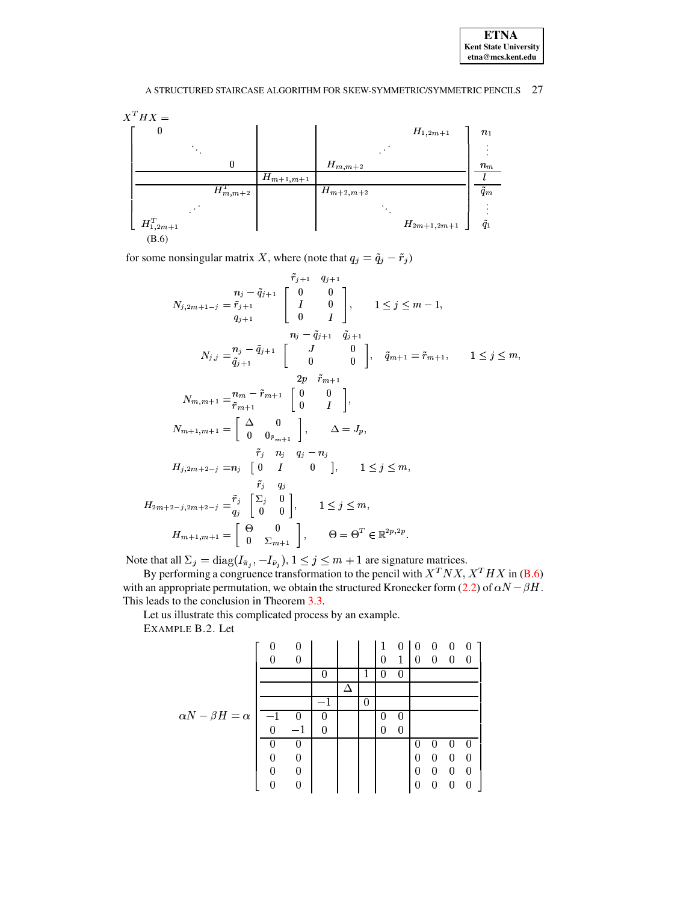

for some nonsingular matrix X, where (note that  $q_j = \tilde{q}_j - \tilde{r}_j$ )

$$
\begin{aligned}\n\tilde{r}_{j+1} & q_{j+1} \\
N_{j,2m+1-j} & = \tilde{r}_{j+1} \\
q_{j+1} & \begin{bmatrix}\n0 & 0 \\
I & 0 \\
0 & I\n\end{bmatrix}, \qquad 1 \leq j \leq m-1, \\
n_j - \tilde{q}_{j+1} & \tilde{q}_{j+1} \\
N_{j,j} & = \tilde{q}_{j+1} \\
\tilde{q}_{j+1} & \begin{bmatrix}\nI & 0 \\
0 & I\n\end{bmatrix}, \qquad \tilde{q}_{m+1} = \tilde{r}_{m+1}, \qquad 1 \leq j \leq m, \\
2p \quad \tilde{r}_{m+1} \\
2p \quad \tilde{r}_{m+1} \\
\tilde{r}_{m+1} & \begin{bmatrix}\n0 & 0 \\
0 & I\n\end{bmatrix}, \\
N_{m,m+1} & = \tilde{r}_{m+1} \\
\tilde{r}_{m+1} & \begin{bmatrix}\n0 & 0 \\
0 & I\n\end{bmatrix}, \\
N_{m+1,m+1} & = \begin{bmatrix}\n\Delta & 0 \\
0 & 0 \\
0 & 0 \\
\tilde{r}_{j} & n_{j} \\
q_{j} & -n_{j}\n\end{bmatrix}, \qquad \Delta = J_{p}, \\
H_{j,2m+2-j} & = n_{j} \begin{bmatrix}\n0 & I & 0 \\
0 & I & 0 \\
0 & 0\n\end{bmatrix}, \qquad 1 \leq j \leq m, \\
H_{2m+2-j,2m+2-j} & = \tilde{r}_{j} \begin{bmatrix}\n\Sigma_{j} & 0 \\
0 & 0 \\
0 & 0\n\end{bmatrix}, \qquad 1 \leq j \leq m, \\
H_{m+1,m+1} & = \begin{bmatrix}\n\Theta & 0 \\
0 & \Sigma_{m+1}\n\end{bmatrix}, \qquad \Theta = \Theta^{T} \in \mathbb{R}^{2p, 2p}.\n\end{aligned}
$$

Note that all  $\Sigma_j = \text{diag}(I_{\tilde{\pi}_j}, -I_{\tilde{\nu}_j}), 1 \le j \le m + 1$  are signature matrices.<br>By performing a congruence transformation to the pencil with  $X^T N X, X^T H X$  in (**B.6**) with an appropriate permutation, we obtain the struct This leads to the conclusion in Theorem 3.3.

Let us illustrate this complicated process by an example.

EXAMPLE B.2. Let

|                               |      | 0        |          |   | 1      | $\boldsymbol{0}$ | $\theta$         | 0 | $\theta$ | -0       |
|-------------------------------|------|----------|----------|---|--------|------------------|------------------|---|----------|----------|
|                               |      | 0        |          |   | 0      | 1                | 0                | 0 | 0        | -0       |
|                               |      |          |          | 1 | O      | O                |                  |   |          |          |
|                               |      |          |          |   |        |                  |                  |   |          |          |
|                               |      |          |          | 0 |        |                  |                  |   |          |          |
| $\alpha N - \beta H = \alpha$ | $-1$ | $\bf{0}$ | U        |   | $\cup$ | 0                |                  |   |          |          |
|                               | 0    | $-1$     | $\Omega$ |   | 0      | 0                |                  |   |          |          |
|                               |      | O        |          |   |        |                  | 0                |   |          |          |
|                               |      | $\Omega$ |          |   |        |                  | 0                | 0 | 0        | 0        |
|                               |      | 0        |          |   |        |                  | 0                | 0 | 0        | 0        |
|                               |      |          |          |   |        |                  | $\left( \right)$ | O |          | $\Omega$ |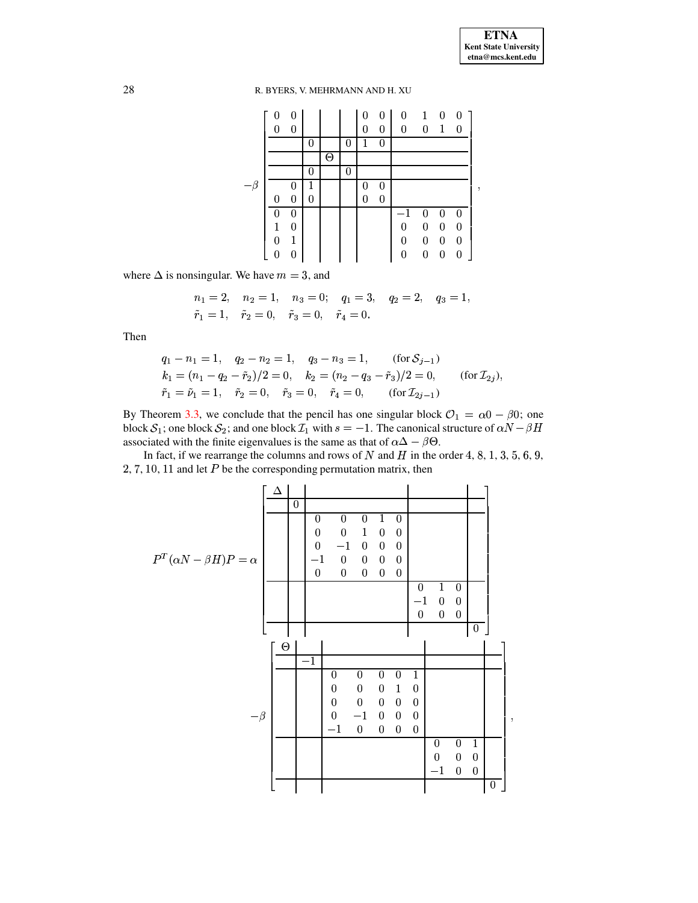g

# 28 R. BYERS, V. MEHRMANN AND H. XU

|          | 0              | 0            |   |     |   | $\boldsymbol{0}$ | $\boldsymbol{0}$ | $\theta$         | $\mathbf{1}$     | 0                |                  |   |
|----------|----------------|--------------|---|-----|---|------------------|------------------|------------------|------------------|------------------|------------------|---|
|          | 0              | 0            |   |     |   | $\overline{0}$   | $\theta$         | $\theta$         | $\theta$         | 1                | $\Omega$         |   |
|          |                |              | 0 |     | 0 | 1                | 0                |                  |                  |                  |                  |   |
|          |                |              |   | (-) |   |                  |                  |                  |                  |                  |                  |   |
|          |                |              |   |     |   |                  |                  |                  |                  |                  |                  |   |
| $-\beta$ |                | U            |   |     |   | U                | O                |                  |                  |                  |                  | , |
|          | $\overline{0}$ | 0            | 0 |     |   | 0                | $\boldsymbol{0}$ |                  |                  |                  |                  |   |
|          | 0              | 0            |   |     |   |                  |                  |                  | 0                |                  |                  |   |
|          | 1              | 0            |   |     |   |                  |                  | $\boldsymbol{0}$ | $\boldsymbol{0}$ | 0                | $\overline{0}$   |   |
|          | 0              | $\mathbf{1}$ |   |     |   |                  |                  | $\boldsymbol{0}$ | $\boldsymbol{0}$ | $\boldsymbol{0}$ | 0                |   |
|          | 0              | 0            |   |     |   |                  |                  | $\boldsymbol{0}$ | $\boldsymbol{0}$ | $\boldsymbol{0}$ | $\boldsymbol{0}$ |   |

where  $\Delta$  is nonsingular. We have  $m = 3$ , and

$$
n_1 = 2
$$
,  $n_2 = 1$ ,  $n_3 = 0$ ;  $q_1 = 3$ ,  $q_2 = 2$ ,  $q_3 = 1$ ,  
\n $\tilde{r}_1 = 1$ ,  $\tilde{r}_2 = 0$ ,  $\tilde{r}_3 = 0$ ,  $\tilde{r}_4 = 0$ .

Then

$$
q_1 - n_1 = 1, \quad q_2 - n_2 = 1, \quad q_3 - n_3 = 1, \quad \text{(for } S_{j-1})
$$
  
\n
$$
k_1 = (n_1 - q_2 - \tilde{r}_2)/2 = 0, \quad k_2 = (n_2 - q_3 - \tilde{r}_3)/2 = 0, \quad \text{(for } \mathcal{I}_{2j}),
$$
  
\n
$$
\tilde{r}_1 = \tilde{\nu}_1 = 1, \quad \tilde{r}_2 = 0, \quad \tilde{r}_3 = 0, \quad \tilde{r}_4 = 0, \quad \text{(for } \mathcal{I}_{2j-1})
$$

By Theorem [3.3,](#page-10-0) we conclude that the pencil has one singular block  $\mathcal{O}_1 = \alpha_0 - \beta_0$ ; one block  $S_1$ ; one block  $S_2$ ; and one block  $\mathcal{I}_1$  with  $s = -1$ . The canonical structure of  $\alpha N - \beta H$ associated with the finite eigenvalues is the same as that of  $\alpha\Delta - \beta\Theta$ .

In fact, if we rearrange the columns and rows of N and H in the order 4, 8, 1, 3, 5, 6, 9,  $2, 7, 10, 11$  and let  $P$  be the corresponding permutation matrix, then

$$
P^{T}(\alpha N-\beta H)P=\alpha\left[\begin{array}{c|c} \Delta & 0 & 0 & 0 & 1 & 0 \\ 0 & 0 & 0 & 1 & 0 & 0 \\ 0 & -1 & 0 & 0 & 0 & 0 \\ 0 & -1 & 0 & 0 & 0 & 0 \\ 0 & 0 & 0 & 0 & 0 & 0 \\ 0 & 0 & 0 & 0 & 0 & 0 \\ 0 & -1 & 0 & 0 & 0 & 0 \\ 0 & 0 & 0 & 0 & 1 & 0 \\ 0 & 0 & 0 & 0 & 0 & 0 \\ 0 & -1 & 0 & 0 & 0 & 0 \\ 0 & -1 & 0 & 0 & 0 & 0 \\ 0 & 0 & -1 & 0 & 0 & 0 \\ 0 & 0 & 0 & 0 & -1 & 0 \\ 0 & 0 & 0 & 0 & -1 & 0 \\ 0 & 0 & 0 & 0 & -1 & 0 \\ 0 & 0 & 0 & 0 & -1 & 0 \\ 0 & 0 & 0 & 0 & 0 & 0 \\ 0 & 0 & 0 & 0 & 0 & 0 \\ 0 & 0 & 0 & 0 & 0 & 0 \\ 0 & 0 & 0 & 0 & 0 & 0 \\ 0 & 0 & 0 & 0 & 0 & 0 \\ 0 & 0 & 0 & 0 & 0 & 0 \\ 0 & 0 & 0 & 0 & 0 & 0 \\ 0 & 0 & 0 & 0 & 0 & 0 \\ 0 & 0 & 0 & 0 & 0 & 0 \\ 0 & 0 & 0 & 0 & 0 & 0 \\ 0 & 0 & 0 & 0 & 0 & 0 \\ 0 & 0 & 0 & 0 & 0 & 0 \\ 0 & 0 & 0 & 0 & 0 & 0 \\ 0 & 0 & 0 & 0 & 0 & 0 \\ 0 & 0 & 0 & 0 & 0 & 0 \\ 0 & 0 & 0 & 0 & 0 & 0 \\ 0 & 0 & 0 & 0 & 0 & 0 \\ 0 & 0 & 0 & 0 & 0 & 0 \\ 0 & 0 & 0 & 0 & 0 & 0 \\ 0 & 0 & 0 & 0 & 0 & 0 \\ 0 & 0 & 0 & 0 & 0 & 0 \\ 0 & 0 & 0 & 0 & 0 & 0 \\ 0 & 0 & 0 & 0 & 0 & 0 \\ 0 & 0 & 0 & 0 & 0 & 0 \\ 0 & 0 & 0 & 0 & 0
$$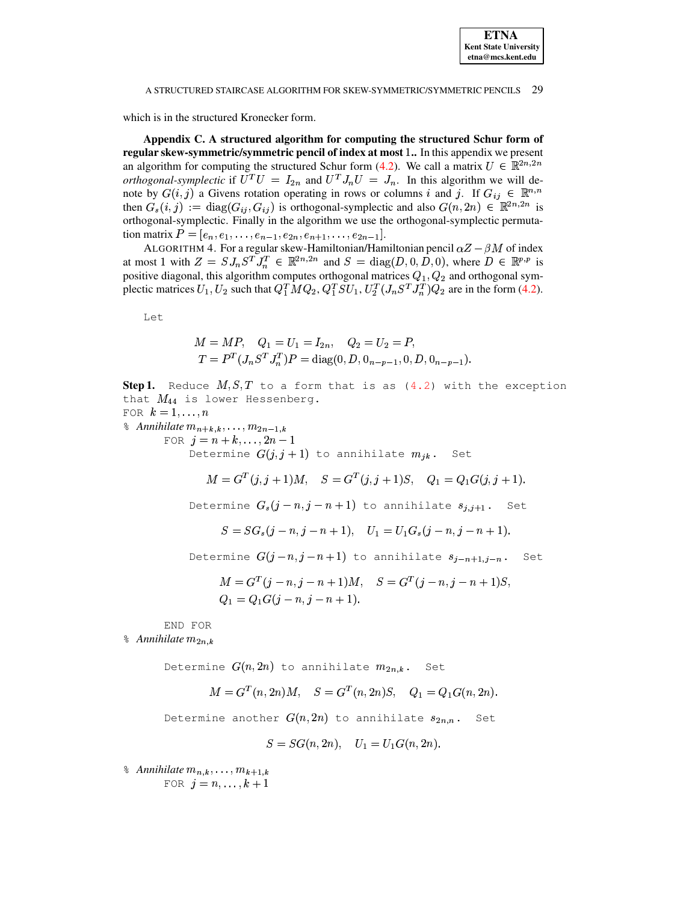<span id="page-28-0"></span>which is in the structured Kronecker form.

Appendix C. A structured algorithm for computing the structured Schur form of regular skew-symmetric/symmetric pencil of index at most 1.. In this appendix we present an algorithm for computing the structured Schur form (4.2). We call a matrix  $U \in \mathbb{R}^{2n,2n}$ orthogonal-symplectic if  $U^T U = I_{2n}$  and  $U^T J_n U = J_n$ . In this algorithm we will denote by  $G(i, j)$  a Givens rotation operating in rows or columns i and j. If  $G_{ij} \in \mathbb{R}^{n,n}$ then  $G_s(i,j) := diag(G_{ij}, G_{ij})$  is orthogonal-symplectic and also  $G(n, 2n) \in \mathbb{R}^{2n,2n}$  is orthogonal-symplectic. Finally in the algorithm we use the orthogonal-symplectic permutation matrix  $P = [e_n, e_1, \ldots, e_{n-1}, e_{2n}, e_{n+1}, \ldots, e_{2n-1}].$ 

ALGORITHM 4. For a regular skew-Hamiltonian/Hamiltonian pencil  $\alpha Z - \beta M$  of index at most 1 with  $Z = S J_n S^T J_n^T \in \mathbb{R}^{2n,2n}$  and  $S = \text{diag}(D, 0, D, 0)$ , where  $D \in \mathbb{R}^{p,p}$  is positive diagonal, this algorithm computes orthogonal matrices  $Q_1, Q_2$  and orthogonal symplectic matrices  $U_1, U_2$  such that  $Q_1^T M Q_2, Q_1^T S U_1, U_2^T (J_n S^T J_n^T) Q_2$  are in the form (4.2).

Let

<span id="page-28-1"></span>
$$
M = MP, \quad Q_1 = U_1 = I_{2n}, \quad Q_2 = U_2 = P,
$$
  

$$
T = P^T (J_n S^T J_n^T) P = \text{diag}(0, D, 0_{n-p-1}, 0, D, 0_{n-p-1}).
$$

**Step 1.** Reduce  $M, S, T$  to a form that is as (4.2) with the exception that  $M_{44}$  is lower Hessenberg.

FOR  $k=1,\ldots,n$ 

 $\delta$  Annihilate  $m_{n+k,k}, \ldots, m_{2n-1,k}$ FOR  $j = n + k, ..., 2n - 1$ Determine  $G(j, j + 1)$  to annihilate  $m_{ik}$ . Set

$$
M = G^{T}(j, j+1)M, \quad S = G^{T}(j, j+1)S, \quad Q_{1} = Q_{1}G(j, j+1).
$$

Determine  $G_s(j - n, j - n + 1)$  to annihilate  $s_{i, j+1}$ . Set

$$
S = SG_s(j - n, j - n + 1), \quad U_1 = U_1G_s(j - n, j - n + 1)
$$

Determine  $G(j-n, j-n+1)$  to annihilate  $s_{j-n+1,j-n}$ . Set

$$
M = GT(j - n, j - n + 1)M, \quad S = GT(j - n, j - n + 1)S
$$
  
Q<sub>1</sub> = Q<sub>1</sub>G(j - n, j - n + 1).

END FOR

 $\delta$  Annihilate  $m_{2n,k}$ 

Determine  $G(n,2n)$  to annihilate  $m_{2n,k}$ . Set

$$
M = G^T(n, 2n)M, \quad S = G^T(n, 2n)S, \quad Q_1 = Q_1 G(n, 2n).
$$

Determine another  $G(n,2n)$  to annihilate  $s_{2n,n}$ . Set

$$
S = SG(n, 2n), \quad U_1 = U_1G(n, 2n).
$$

 $\delta$  Annihilate  $m_{n,k}, \ldots, m_{k+1,k}$ FOR  $j = n, \ldots, k + 1$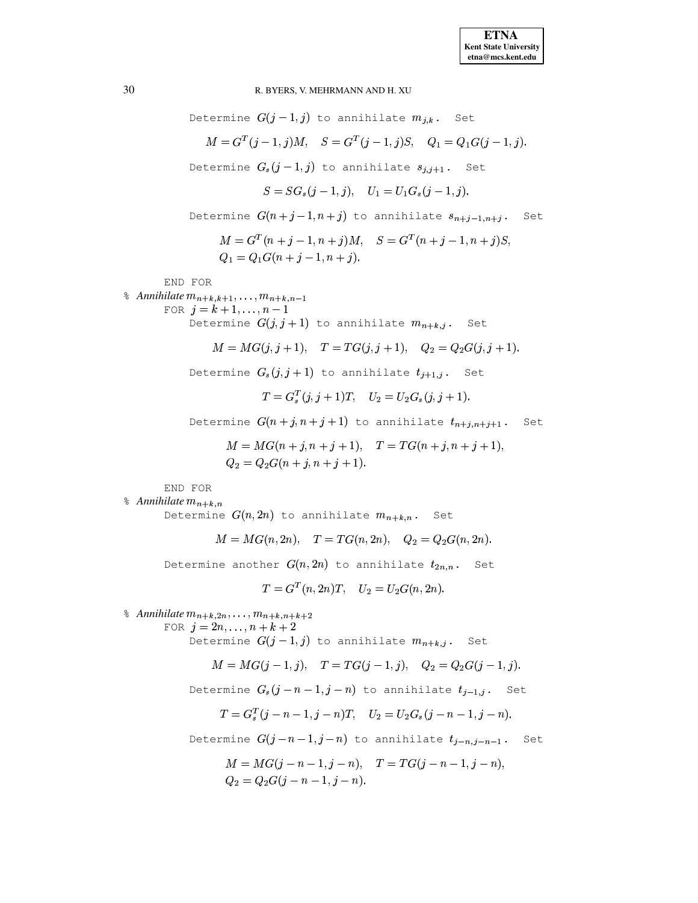Set

Set

R. BYERS, V. MEHRMANN AND H. XU Determine  $G(j-1,j)$  to annihilate  $m_{j,k}$ . Set  $M = G^{T}(j-1, j)M$ ,  $S = G^{T}(j-1, j)S$ ,  $Q_1 = Q_1G(j-1, j)$ . Determine  $G_s(j-1,j)$  to annihilate  $s_{i,j+1}$ . Set  $S = SG_s(i-1, i), \quad U_1 = U_1G_s(i-1, i).$ Determine  $G(n+j-1,n+j)$  to annihilate  $s_{n+j-1,n+j}$ .  $M = G<sup>T</sup>(n+j-1, n+j)M$ ,  $S = G<sup>T</sup>(n+j-1, n+j)S$ ,  $Q_1 = Q_1 G(n+j-1, n+j).$ END FOR  $\delta$  Annihilate  $m_{n+k,k+1}, \ldots, m_{n+k,n-1}$ FOR  $i = k + 1, ..., n - 1$ Determine  $G(j, j + 1)$  to annihilate  $m_{n+k,j}$ . Set  $M = MG(j, j + 1),$   $T = TG(j, j + 1),$   $Q_2 = Q_2G(j, j + 1).$ Determine  $G_s(j, j+1)$  to annihilate  $t_{i+1,j}$ . Set  $T = G_s^T(i, i + 1)T$ ,  $U_2 = U_2 G_s(i, i + 1)$ . Determine  $G(n+j, n+j+1)$  to annihilate  $t_{n+j, n+j+1}$ .  $M = MG(n + j, n + j + 1),$   $T = TG(n + j, n + j + 1),$  $Q_2 = Q_2G(n+j, n+j+1).$ END FOR  $\delta$  Annihilate  $m_{n+k,n}$ Determine  $G(n,2n)$  to annihilate  $m_{n+k,n}$ . Set  $M = MG(n, 2n),$   $T = TG(n, 2n),$   $Q_2 = Q_2G(n, 2n).$ Determine another  $G(n,2n)$  to annihilate  $t_{2n,n}$ . Set  $T = G^{T}(n, 2n)T$ ,  $U_2 = U_2G(n, 2n)$ .  $\delta$  Annihilate  $m_{n+k,2n}, \ldots, m_{n+k,n+k+2}$ FOR  $j = 2n, ..., n + k + 2$ Determine  $G(j-1,j)$  to annihilate  $m_{n+k,j}$ . Set  $M = MG(j-1, j),$   $T = TG(j-1, j),$   $Q_2 = Q_2G(j-1, j).$ 

Determine  $G_s(j-n-1,j-n)$  to annihilate  $t_{j-1,j}$ . Set

$$
T = G_s^T(j - n - 1, j - n)T, \quad U_2 = U_2 G_s(j - n - 1, j - n)
$$

Determine  $G(j-n-1,j-n)$  to annihilate  $t_{j-n,j-n-1}$ . Set

$$
M = MG(j - n - 1, j - n), \quad T = TG(j - n - 1, j - n),
$$
  
\n
$$
Q_2 = Q_2G(j - n - 1, j - n).
$$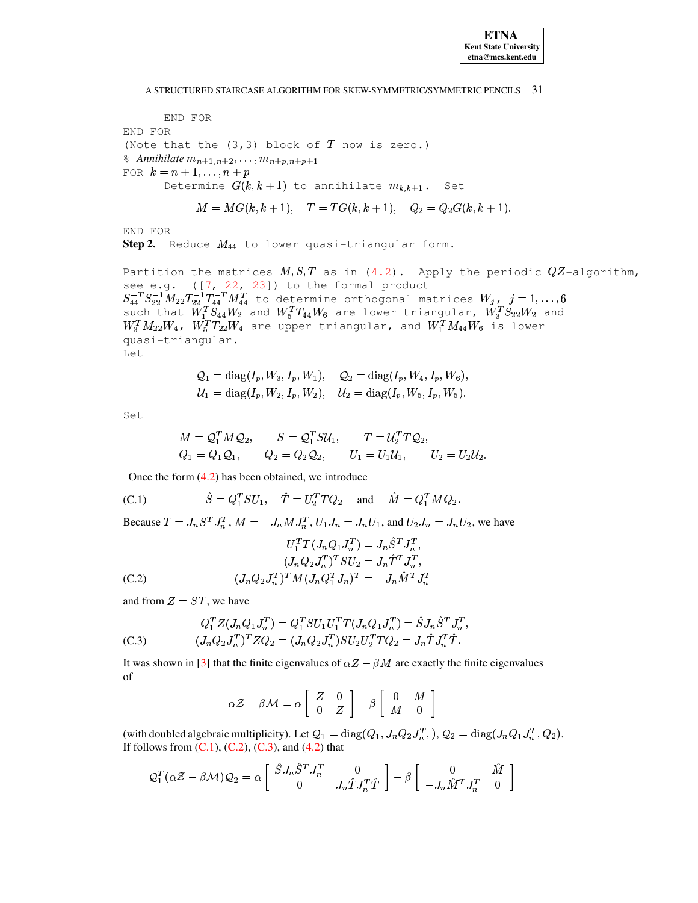END FOR END FOR (Note that the  $(3,3)$  block of  $T$  now is zero.)  $\delta$  Annihilate  $m_{n+1,n+2}, \ldots, m_{n+p,n+p+1}$ FOR  $k = n + 1, ..., n + p$ Determine  $G(k, k + 1)$  to annihilate  $m_{k, k+1}$ . Set

$$
M = MG(k, k+1), \quad T = TG(k, k+1), \quad Q_2 = Q_2G(k, k+1).
$$

END FOR

Step 2. Reduce  $M_{44}$  to lower quasi-triangular form.

Partition the matrices  $M, S, T$  as in (4.2). Apply the periodic  $QZ$ -algorithm, see e.g.  $([7, 22, 23])$  to the formal product  $S_{44}^{-T}S_{22}^{-1}M_{22}T_{22}^{-1}T_{44}^{-T}M_{44}^{T}$  to determine orthogonal matrices  $W_{j}$ ,  $j = 1,...,6$ <br>such that  $W_{1}^{T}S_{44}W_{2}$  and  $W_{5}^{T}T_{44}W_{6}$  are lower triangular,  $W_{3}^{T}S_{22}W_{2}$  and  $W_3^T M_{22} W_4$ ,  $W_5^T T_{22} W_4$  are upper triangular, and  $W_1^T M_{44} W_6$  is lower quasi-triangular. Let.

$$
Q_1 = diag(I_p, W_3, I_p, W_1), \quad Q_2 = diag(I_p, W_4, I_p, W_6),
$$
  

$$
U_1 = diag(I_p, W_2, I_p, W_2), \quad U_2 = diag(I_p, W_5, I_p, W_5).
$$

Set

$$
M = Q_1^T M Q_2, \t S = Q_1^T S U_1, \t T = U_2^T T Q_2, Q_1 = Q_1 Q_1, \t Q_2 = Q_2 Q_2, \t U_1 = U_1 U_1, \t U_2 = U_2 U_2
$$

Once the form  $(4.2)$  has been obtained, we introduce

<span id="page-30-0"></span>(C.1) 
$$
\hat{S} = Q_1^T SU_1, \quad \hat{T} = U_2^T T Q_2 \text{ and } \hat{M} = Q_1^T M Q_2.
$$

Because  $T = J_n S^T J_n^T$ ,  $M = -J_n M J_n^T$ ,  $U_1 J_n = J_n U_1$ , and  $U_2 J_n = J_n U_2$ , we have

 $\sim$ 

<span id="page-30-1"></span>
$$
U_1^T T (J_n Q_1 J_n^T) = J_n S^T J_n^T,
$$
  
\n
$$
(J_n Q_2 J_n^T)^T S U_2 = J_n \hat{T}^T J_n^T,
$$
  
\n(C.2) 
$$
(J_n Q_2 J_n^T)^T M (J_n Q_1^T J_n)^T = -J_n \hat{M}^T J_n^T
$$

and from  $Z = ST$ , we have

<span id="page-30-2"></span>
$$
Q_1^T Z (J_n Q_1 J_n^T) = Q_1^T S U_1 U_1^T T (J_n Q_1 J_n^T) = \hat{S} J_n \hat{S}^T J_n^T,
$$
  
(C.3) 
$$
(J_n Q_2 J_n^T)^T Z Q_2 = (J_n Q_2 J_n^T) S U_2 U_2^T T Q_2 = J_n \hat{T} J_n^T \hat{T}.
$$

It was shown in [3] that the finite eigenvalues of  $\alpha Z - \beta M$  are exactly the finite eigenvalues of

$$
\alpha Z - \beta \mathcal{M} = \alpha \left[ \begin{array}{cc} Z & 0 \\ 0 & Z \end{array} \right] - \beta \left[ \begin{array}{cc} 0 & M \\ M & 0 \end{array} \right]
$$

(with doubled algebraic multiplicity). Let  $Q_1 = \text{diag}(Q_1, J_n Q_2 J_n^T)$ ,  $Q_2 = \text{diag}(J_n Q_1 J_n^T, Q_2)$ . If follows from  $(C.1)$ ,  $(C.2)$ ,  $(C.3)$ , and  $(4.2)$  that

$$
Q_1^T(\alpha Z - \beta \mathcal{M})Q_2 = \alpha \begin{bmatrix} \hat{S}J_n \hat{S}^T J_n^T & 0 \\ 0 & J_n \hat{T} J_n^T \hat{T} \end{bmatrix} - \beta \begin{bmatrix} 0 & \hat{M} \\ -J_n \hat{M}^T J_n^T & 0 \end{bmatrix}
$$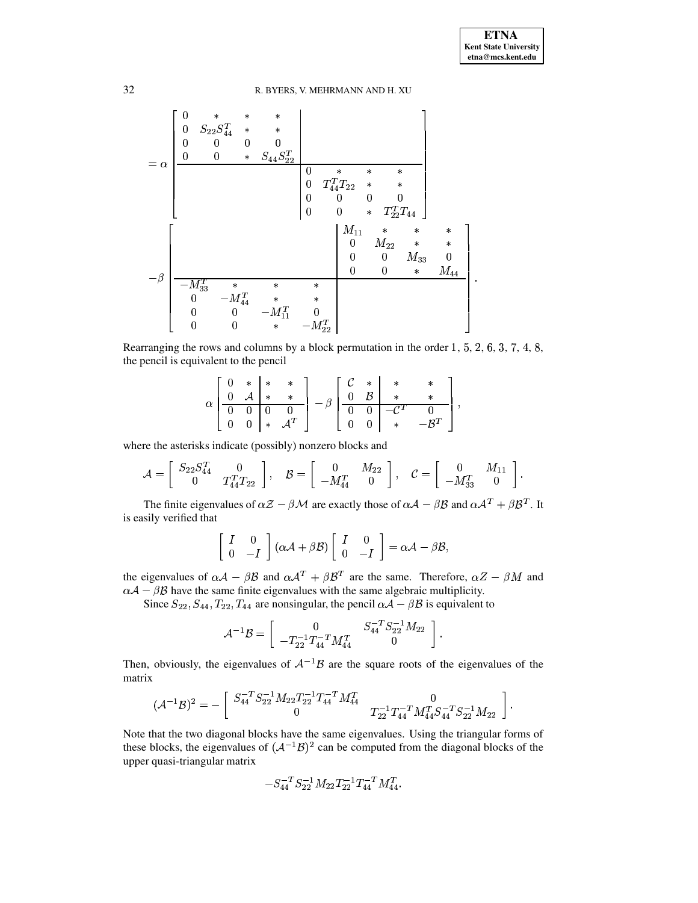

Rearranging the rows and columns by a block permutation in the order  $1, 5, 2, 6, 3, 7, 4, 8$ , the pencil is equivalent to the pencil

$$
\alpha\left[\begin{array}{cc|c} 0 & * & * & * \\ 0 & \mathcal{A} & * & * \\ \hline 0 & 0 & 0 & 0 \\ 0 & 0 & * & \mathcal{A}^T\end{array}\right] - \beta\left[\begin{array}{cc|c} \mathcal{C} & * & * & * \\ 0 & \mathcal{B} & * & * \\ \hline 0 & 0 & -\mathcal{C}^T & 0 \\ 0 & 0 & * & -\mathcal{B}^T\end{array}\right],
$$

where the asterisks indicate (possibly) nonzero blocks and

$$
\mathcal{A} = \left[ \begin{array}{cc} S_{22} S_{44}^T & 0 \\ 0 & T_{44}^T T_{22} \end{array} \right], \quad \mathcal{B} = \left[ \begin{array}{cc} 0 & M_{22} \\ -M_{44}^T & 0 \end{array} \right], \quad \mathcal{C} = \left[ \begin{array}{cc} 0 & M_{11} \\ -M_{33}^T & 0 \end{array} \right].
$$

The finite eigenvalues of  $\alpha Z - \beta M$  are exactly those of  $\alpha A - \beta B$  and  $\alpha A^T + \beta B^T$ . It is easily verified that

$$
\left[\begin{array}{cc} I & 0 \\ 0 & -I \end{array}\right](\alpha \mathcal{A}+\beta \mathcal{B})\left[\begin{array}{cc} I & 0 \\ 0 & -I \end{array}\right]=\alpha \mathcal{A}-\beta \mathcal{B},
$$

the eigenvalues of  $\alpha A - \beta B$  and  $\alpha A^T + \beta B^T$  are the same. Therefore,  $\alpha Z - \beta M$  and  $\alpha A - \beta B$  have the same finite eigenvalues with the same algebraic multiplicity.

Since  $S_{22}, S_{44}, T_{22}, T_{44}$  are nonsingular, the pencil  $\alpha \mathcal{A} - \beta \mathcal{B}$  is equivalent to

$$
\mathcal{A}^{-1} \mathcal{B} = \left[ \begin{array}{cc} 0 & S_{44}^{-T} S_{22}^{-1} M_{22} \\ -T_{22}^{-1} T_{44}^{-T} M_{44}^T & 0 \end{array} \right].
$$

Then, obviously, the eigenvalues of  $A^{-1}B$  are the square roots of the eigenvalues of the matrix

$$
(\mathcal{A}^{-1} \mathcal{B})^2 = - \left[\begin{array}{cc} S_{44}^{-T} S_{22}^{-1} M_{22} T_{22}^{-1} T_{44}^{-T} M_{44}^T & 0 \\ 0 & T_{22}^{-1} T_{44}^{-T} M_{44}^T S_{44}^{-T} S_{22}^{-1} M_{22} \end{array} \right].
$$

Note that the two diagonal blocks have the same eigenvalues. Using the triangular forms of these blocks, the eigenvalues of  $({A}^{-1}B)^2$  can be computed from the diagonal blocks of the upper quasi-triangular matrix

$$
-S_{44}^{-T} S_{22}^{-1} M_{22} T_{22}^{-1} T_{44}^{-T} M_{44}^T.\\
$$